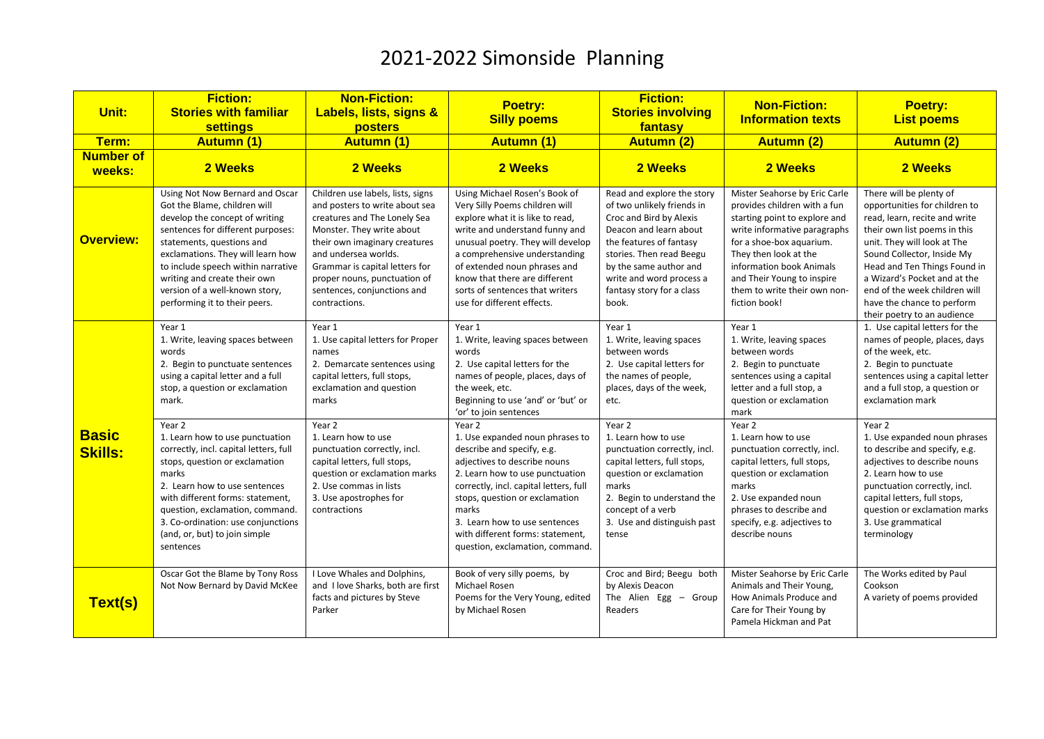| Unit:                          | <b>Fiction:</b><br><b>Stories with familiar</b><br><b>settings</b>                                                                                                                                                                                                                                                                                | <b>Non-Fiction:</b><br>Labels, lists, signs &<br>posters                                                                                                                                                                                                                                                    | <b>Poetry:</b><br><b>Silly poems</b>                                                                                                                                                                                                                                                                                                          | <b>Fiction:</b><br><b>Stories involving</b><br>fantasy                                                                                                                                                                                                           | <b>Non-Fiction:</b><br><b>Information texts</b>                                                                                                                                                                                                                                                | <b>Poetry:</b><br><b>List poems</b>                                                                                                                                                                                                                                                                                                                  |
|--------------------------------|---------------------------------------------------------------------------------------------------------------------------------------------------------------------------------------------------------------------------------------------------------------------------------------------------------------------------------------------------|-------------------------------------------------------------------------------------------------------------------------------------------------------------------------------------------------------------------------------------------------------------------------------------------------------------|-----------------------------------------------------------------------------------------------------------------------------------------------------------------------------------------------------------------------------------------------------------------------------------------------------------------------------------------------|------------------------------------------------------------------------------------------------------------------------------------------------------------------------------------------------------------------------------------------------------------------|------------------------------------------------------------------------------------------------------------------------------------------------------------------------------------------------------------------------------------------------------------------------------------------------|------------------------------------------------------------------------------------------------------------------------------------------------------------------------------------------------------------------------------------------------------------------------------------------------------------------------------------------------------|
| Term:                          | <b>Autumn (1)</b>                                                                                                                                                                                                                                                                                                                                 | <b>Autumn (1)</b>                                                                                                                                                                                                                                                                                           | <b>Autumn (1)</b>                                                                                                                                                                                                                                                                                                                             | <b>Autumn (2)</b>                                                                                                                                                                                                                                                | <b>Autumn (2)</b>                                                                                                                                                                                                                                                                              | <b>Autumn (2)</b>                                                                                                                                                                                                                                                                                                                                    |
| <b>Number of</b><br>weeks:     | 2 Weeks                                                                                                                                                                                                                                                                                                                                           | 2 Weeks                                                                                                                                                                                                                                                                                                     | 2 Weeks                                                                                                                                                                                                                                                                                                                                       | 2 Weeks                                                                                                                                                                                                                                                          | 2 Weeks                                                                                                                                                                                                                                                                                        | 2 Weeks                                                                                                                                                                                                                                                                                                                                              |
| <b>Overview:</b>               | Using Not Now Bernard and Oscar<br>Got the Blame, children will<br>develop the concept of writing<br>sentences for different purposes:<br>statements, questions and<br>exclamations. They will learn how<br>to include speech within narrative<br>writing and create their own<br>version of a well-known story,<br>performing it to their peers. | Children use labels, lists, signs<br>and posters to write about sea<br>creatures and The Lonely Sea<br>Monster. They write about<br>their own imaginary creatures<br>and undersea worlds.<br>Grammar is capital letters for<br>proper nouns, punctuation of<br>sentences, conjunctions and<br>contractions. | Using Michael Rosen's Book of<br>Very Silly Poems children will<br>explore what it is like to read,<br>write and understand funny and<br>unusual poetry. They will develop<br>a comprehensive understanding<br>of extended noun phrases and<br>know that there are different<br>sorts of sentences that writers<br>use for different effects. | Read and explore the story<br>of two unlikely friends in<br>Croc and Bird by Alexis<br>Deacon and learn about<br>the features of fantasy<br>stories. Then read Beegu<br>by the same author and<br>write and word process a<br>fantasy story for a class<br>book. | Mister Seahorse by Eric Carle<br>provides children with a fun<br>starting point to explore and<br>write informative paragraphs<br>for a shoe-box aquarium.<br>They then look at the<br>information book Animals<br>and Their Young to inspire<br>them to write their own non-<br>fiction book! | There will be plenty of<br>opportunities for children to<br>read, learn, recite and write<br>their own list poems in this<br>unit. They will look at The<br>Sound Collector, Inside My<br>Head and Ten Things Found in<br>a Wizard's Pocket and at the<br>end of the week children will<br>have the chance to perform<br>their poetry to an audience |
|                                | Year 1<br>1. Write, leaving spaces between<br>words<br>2. Begin to punctuate sentences<br>using a capital letter and a full<br>stop, a question or exclamation<br>mark.                                                                                                                                                                           | Year 1<br>1. Use capital letters for Proper<br>names<br>2. Demarcate sentences using<br>capital letters, full stops,<br>exclamation and question<br>marks                                                                                                                                                   | Year 1<br>1. Write, leaving spaces between<br>words<br>2. Use capital letters for the<br>names of people, places, days of<br>the week, etc.<br>Beginning to use 'and' or 'but' or<br>'or' to join sentences                                                                                                                                   | Year 1<br>1. Write, leaving spaces<br>between words<br>2. Use capital letters for<br>the names of people,<br>places, days of the week,<br>etc.                                                                                                                   | Year 1<br>1. Write, leaving spaces<br>between words<br>2. Begin to punctuate<br>sentences using a capital<br>letter and a full stop, a<br>question or exclamation<br>mark                                                                                                                      | 1. Use capital letters for the<br>names of people, places, days<br>of the week, etc.<br>2. Begin to punctuate<br>sentences using a capital letter<br>and a full stop, a question or<br>exclamation mark                                                                                                                                              |
| <b>Basic</b><br><b>Skills:</b> | Year 2<br>1. Learn how to use punctuation<br>correctly, incl. capital letters, full<br>stops, question or exclamation<br>marks<br>2. Learn how to use sentences<br>with different forms: statement,<br>question, exclamation, command.<br>3. Co-ordination: use conjunctions<br>(and, or, but) to join simple<br>sentences                        | Year 2<br>1. Learn how to use<br>punctuation correctly, incl.<br>capital letters, full stops,<br>question or exclamation marks<br>2. Use commas in lists<br>3. Use apostrophes for<br>contractions                                                                                                          | Year 2<br>1. Use expanded noun phrases to<br>describe and specify, e.g.<br>adjectives to describe nouns<br>2. Learn how to use punctuation<br>correctly, incl. capital letters, full<br>stops, question or exclamation<br>marks<br>3. Learn how to use sentences<br>with different forms: statement.<br>question, exclamation, command.       | Year 2<br>1. Learn how to use<br>punctuation correctly, incl.<br>capital letters, full stops,<br>question or exclamation<br>marks<br>2. Begin to understand the<br>concept of a verb<br>3. Use and distinguish past<br>tense                                     | Year 2<br>1. Learn how to use<br>punctuation correctly, incl.<br>capital letters, full stops,<br>question or exclamation<br>marks<br>2. Use expanded noun<br>phrases to describe and<br>specify, e.g. adjectives to<br>describe nouns                                                          | Year 2<br>1. Use expanded noun phrases<br>to describe and specify, e.g.<br>adjectives to describe nouns<br>2. Learn how to use<br>punctuation correctly, incl.<br>capital letters, full stops,<br>question or exclamation marks<br>3. Use grammatical<br>terminology                                                                                 |
| Text(s)                        | Oscar Got the Blame by Tony Ross<br>Not Now Bernard by David McKee                                                                                                                                                                                                                                                                                | I Love Whales and Dolphins,<br>and I love Sharks, both are first<br>facts and pictures by Steve<br>Parker                                                                                                                                                                                                   | Book of very silly poems, by<br>Michael Rosen<br>Poems for the Very Young, edited<br>by Michael Rosen                                                                                                                                                                                                                                         | Croc and Bird; Beegu both<br>by Alexis Deacon<br>The Alien Egg - Group<br>Readers                                                                                                                                                                                | Mister Seahorse by Eric Carle<br>Animals and Their Young,<br>How Animals Produce and<br>Care for Their Young by<br>Pamela Hickman and Pat                                                                                                                                                      | The Works edited by Paul<br>Cookson<br>A variety of poems provided                                                                                                                                                                                                                                                                                   |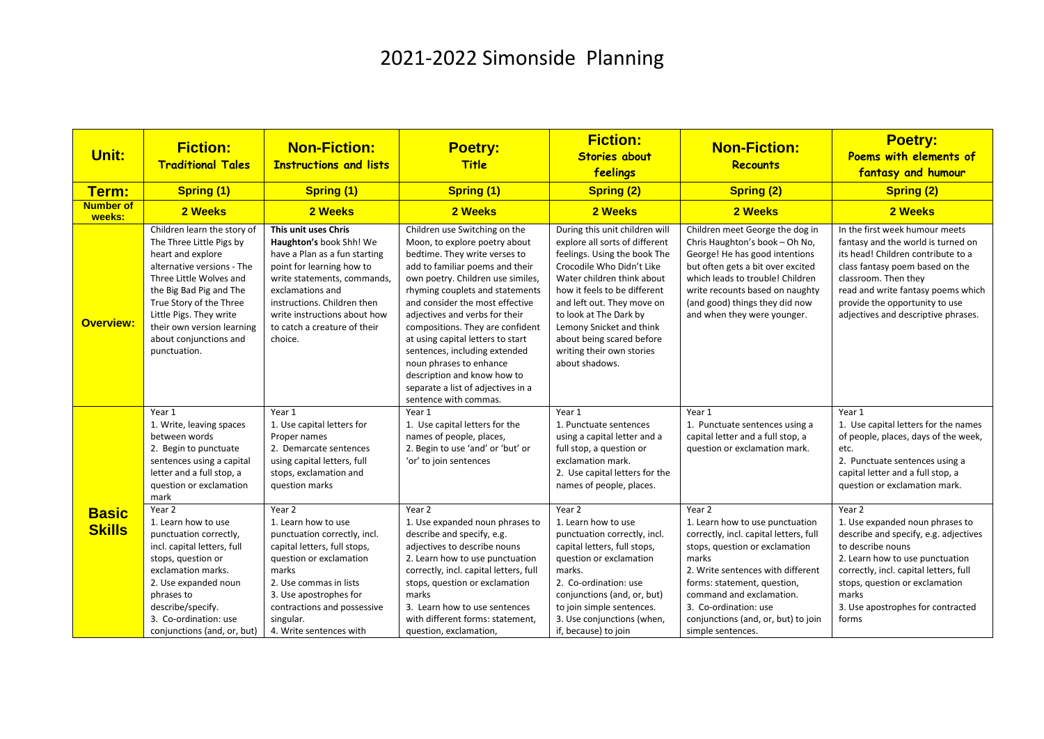| Unit:                         | <b>Fiction:</b><br><b>Traditional Tales</b>                                                                                                                                                                                                                                                    | <b>Non-Fiction:</b><br><b>Instructions and lists</b>                                                                                                                                                                                                                       | <b>Poetry:</b><br><b>Title</b>                                                                                                                                                                                                                                                                                                                                                                                                                                                                                     | <b>Fiction:</b><br><b>Stories about</b><br>feelings                                                                                                                                                                                                                                                                                                         | <b>Non-Fiction:</b><br><b>Recounts</b>                                                                                                                                                                                                                                                                              | <b>Poetry:</b><br>Poems with elements of<br>fantasy and humour                                                                                                                                                                                                                       |
|-------------------------------|------------------------------------------------------------------------------------------------------------------------------------------------------------------------------------------------------------------------------------------------------------------------------------------------|----------------------------------------------------------------------------------------------------------------------------------------------------------------------------------------------------------------------------------------------------------------------------|--------------------------------------------------------------------------------------------------------------------------------------------------------------------------------------------------------------------------------------------------------------------------------------------------------------------------------------------------------------------------------------------------------------------------------------------------------------------------------------------------------------------|-------------------------------------------------------------------------------------------------------------------------------------------------------------------------------------------------------------------------------------------------------------------------------------------------------------------------------------------------------------|---------------------------------------------------------------------------------------------------------------------------------------------------------------------------------------------------------------------------------------------------------------------------------------------------------------------|--------------------------------------------------------------------------------------------------------------------------------------------------------------------------------------------------------------------------------------------------------------------------------------|
| Term:                         | <b>Spring (1)</b>                                                                                                                                                                                                                                                                              | <b>Spring (1)</b>                                                                                                                                                                                                                                                          | <b>Spring (1)</b>                                                                                                                                                                                                                                                                                                                                                                                                                                                                                                  | <b>Spring (2)</b>                                                                                                                                                                                                                                                                                                                                           | <b>Spring (2)</b>                                                                                                                                                                                                                                                                                                   | <b>Spring (2)</b>                                                                                                                                                                                                                                                                    |
| <b>Number of</b><br>weeks:    | 2 Weeks                                                                                                                                                                                                                                                                                        | 2 Weeks                                                                                                                                                                                                                                                                    | 2 Weeks                                                                                                                                                                                                                                                                                                                                                                                                                                                                                                            | 2 Weeks                                                                                                                                                                                                                                                                                                                                                     | 2 Weeks                                                                                                                                                                                                                                                                                                             | 2 Weeks                                                                                                                                                                                                                                                                              |
| <b>Overview:</b>              | Children learn the story of<br>The Three Little Pigs by<br>heart and explore<br>alternative versions - The<br>Three Little Wolves and<br>the Big Bad Pig and The<br>True Story of the Three<br>Little Pigs. They write<br>their own version learning<br>about conjunctions and<br>punctuation. | This unit uses Chris<br>Haughton's book Shh! We<br>have a Plan as a fun starting<br>point for learning how to<br>write statements, commands,<br>exclamations and<br>instructions. Children then<br>write instructions about how<br>to catch a creature of their<br>choice. | Children use Switching on the<br>Moon, to explore poetry about<br>bedtime. They write verses to<br>add to familiar poems and their<br>own poetry. Children use similes,<br>rhyming couplets and statements<br>and consider the most effective<br>adjectives and verbs for their<br>compositions. They are confident<br>at using capital letters to start<br>sentences, including extended<br>noun phrases to enhance<br>description and know how to<br>separate a list of adjectives in a<br>sentence with commas. | During this unit children will<br>explore all sorts of different<br>feelings. Using the book The<br>Crocodile Who Didn't Like<br>Water children think about<br>how it feels to be different<br>and left out. They move on<br>to look at The Dark by<br>Lemony Snicket and think<br>about being scared before<br>writing their own stories<br>about shadows. | Children meet George the dog in<br>Chris Haughton's book - Oh No,<br>George! He has good intentions<br>but often gets a bit over excited<br>which leads to trouble! Children<br>write recounts based on naughty<br>(and good) things they did now<br>and when they were younger.                                    | In the first week humour meets<br>fantasy and the world is turned on<br>its head! Children contribute to a<br>class fantasy poem based on the<br>classroom. Then they<br>read and write fantasy poems which<br>provide the opportunity to use<br>adjectives and descriptive phrases. |
|                               | Year 1<br>1. Write, leaving spaces<br>between words<br>2. Begin to punctuate<br>sentences using a capital<br>letter and a full stop, a<br>question or exclamation<br>mark                                                                                                                      | Year 1<br>1. Use capital letters for<br>Proper names<br>2. Demarcate sentences<br>using capital letters, full<br>stops, exclamation and<br>question marks                                                                                                                  | Year 1<br>1. Use capital letters for the<br>names of people, places,<br>2. Begin to use 'and' or 'but' or<br>'or' to join sentences                                                                                                                                                                                                                                                                                                                                                                                | Year 1<br>1. Punctuate sentences<br>using a capital letter and a<br>full stop, a question or<br>exclamation mark.<br>2. Use capital letters for the<br>names of people, places.                                                                                                                                                                             | Year 1<br>1. Punctuate sentences using a<br>capital letter and a full stop, a<br>question or exclamation mark.                                                                                                                                                                                                      | Year 1<br>1. Use capital letters for the names<br>of people, places, days of the week,<br>etc.<br>2. Punctuate sentences using a<br>capital letter and a full stop, a<br>question or exclamation mark.                                                                               |
| <b>Basic</b><br><b>Skills</b> | Year 2<br>1. Learn how to use<br>punctuation correctly,<br>incl. capital letters, full<br>stops, question or<br>exclamation marks.<br>2. Use expanded noun<br>phrases to<br>describe/specify.<br>3. Co-ordination: use<br>conjunctions (and, or, but)                                          | Year 2<br>1. Learn how to use<br>punctuation correctly, incl.<br>capital letters, full stops,<br>question or exclamation<br>marks<br>2. Use commas in lists<br>3. Use apostrophes for<br>contractions and possessive<br>singular.<br>4. Write sentences with               | Year 2<br>1. Use expanded noun phrases to<br>describe and specify, e.g.<br>adjectives to describe nouns<br>2. Learn how to use punctuation<br>correctly, incl. capital letters, full<br>stops, question or exclamation<br>marks<br>3. Learn how to use sentences<br>with different forms: statement,<br>question, exclamation,                                                                                                                                                                                     | Year 2<br>1. Learn how to use<br>punctuation correctly, incl.<br>capital letters, full stops,<br>question or exclamation<br>marks.<br>2. Co-ordination: use<br>conjunctions (and, or, but)<br>to join simple sentences.<br>3. Use conjunctions (when,<br>if, because) to join                                                                               | Year 2<br>1. Learn how to use punctuation<br>correctly, incl. capital letters, full<br>stops, question or exclamation<br>marks<br>2. Write sentences with different<br>forms: statement, question,<br>command and exclamation.<br>3. Co-ordination: use<br>conjunctions (and, or, but) to join<br>simple sentences. | Year 2<br>1. Use expanded noun phrases to<br>describe and specify, e.g. adjectives<br>to describe nouns<br>2. Learn how to use punctuation<br>correctly, incl. capital letters, full<br>stops, question or exclamation<br>marks<br>3. Use apostrophes for contracted<br>forms        |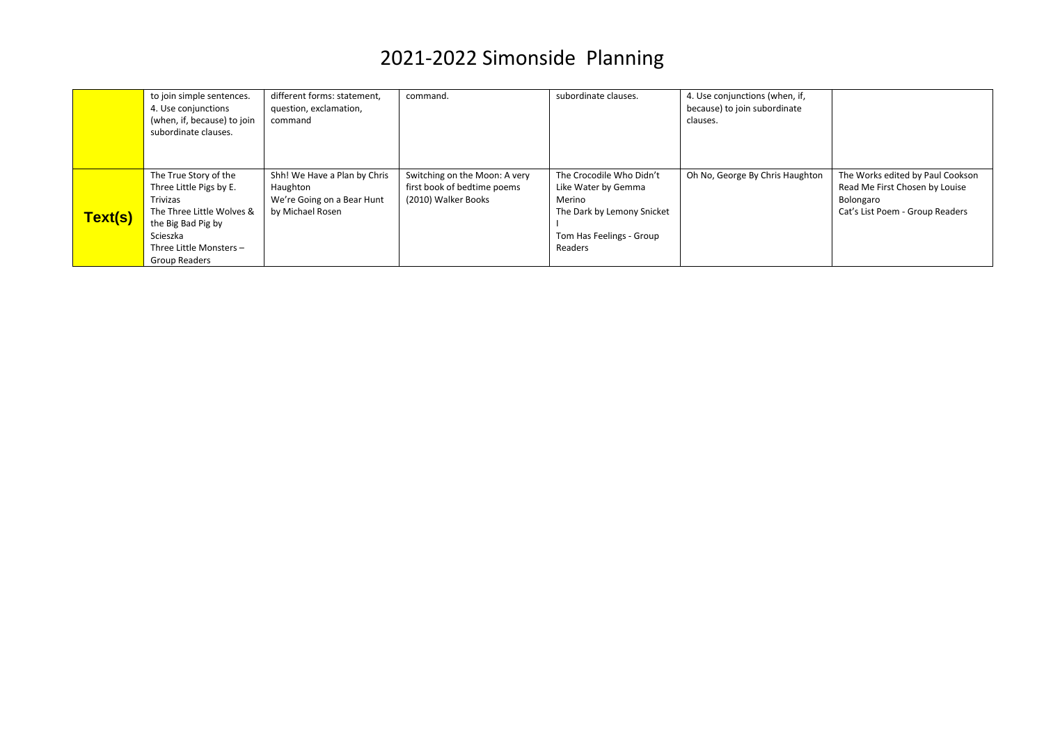|         | to join simple sentences.<br>4. Use conjunctions<br>(when, if, because) to join<br>subordinate clauses.                                                                        | different forms: statement,<br>question, exclamation,<br>command                           | command.                                                                            | subordinate clauses.                                                                                                           | 4. Use conjunctions (when, if,<br>because) to join subordinate<br>clauses. |                                                                                                                    |
|---------|--------------------------------------------------------------------------------------------------------------------------------------------------------------------------------|--------------------------------------------------------------------------------------------|-------------------------------------------------------------------------------------|--------------------------------------------------------------------------------------------------------------------------------|----------------------------------------------------------------------------|--------------------------------------------------------------------------------------------------------------------|
| Text(s) | The True Story of the<br>Three Little Pigs by E.<br>Trivizas<br>The Three Little Wolves &<br>the Big Bad Pig by<br>Scieszka<br>Three Little Monsters -<br><b>Group Readers</b> | Shh! We Have a Plan by Chris<br>Haughton<br>We're Going on a Bear Hunt<br>by Michael Rosen | Switching on the Moon: A very<br>first book of bedtime poems<br>(2010) Walker Books | The Crocodile Who Didn't<br>Like Water by Gemma<br>Merino<br>The Dark by Lemony Snicket<br>Tom Has Feelings - Group<br>Readers | Oh No, George By Chris Haughton                                            | The Works edited by Paul Cookson<br>Read Me First Chosen by Louise<br>Bolongaro<br>Cat's List Poem - Group Readers |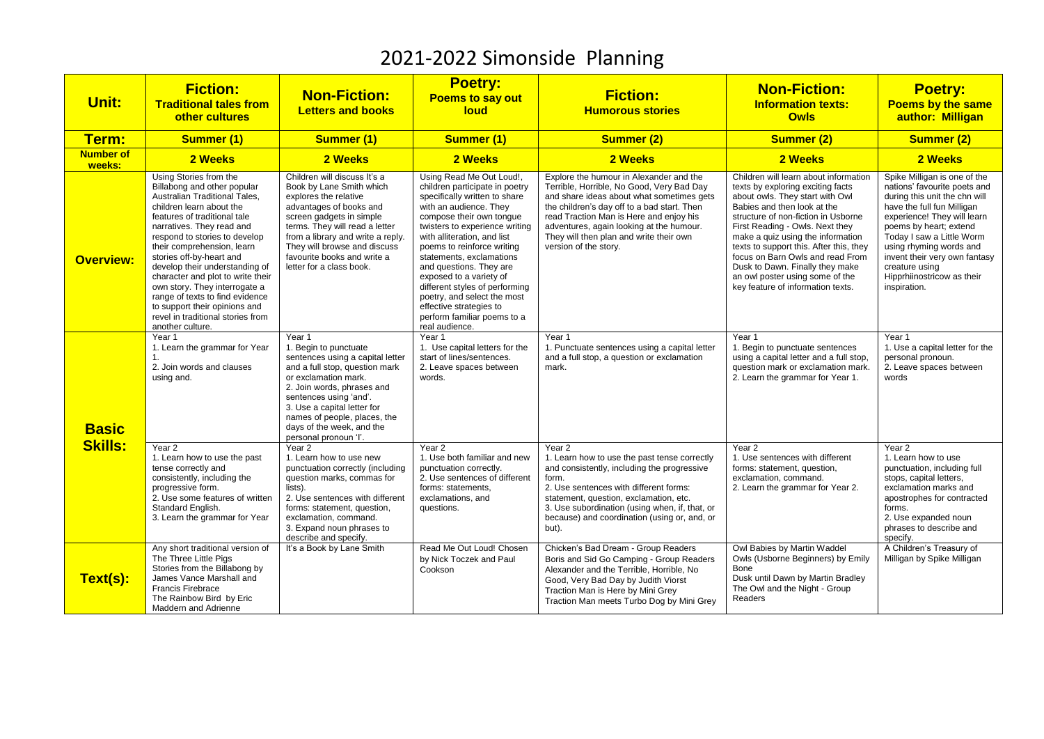| Unit:                      | <b>Fiction:</b><br><b>Traditional tales from</b><br>other cultures                                                                                                                                                                                                                                                                                                                                                                                                                                              | <b>Non-Fiction:</b><br><b>Letters and books</b>                                                                                                                                                                                                                                                            | <b>Poetry:</b><br>Poems to say out<br><b>loud</b>                                                                                                                                                                                                                                                                                                                                                                                                                               | <b>Fiction:</b><br><b>Humorous stories</b>                                                                                                                                                                                                                                                                                                  | <b>Non-Fiction:</b><br><b>Information texts:</b><br><b>Owls</b>                                                                                                                                                                                                                                                                                                                                                                                       | <b>Poetry:</b><br>Poems by the same<br>author: Milligan                                                                                                                                                                                                                                                                                       |
|----------------------------|-----------------------------------------------------------------------------------------------------------------------------------------------------------------------------------------------------------------------------------------------------------------------------------------------------------------------------------------------------------------------------------------------------------------------------------------------------------------------------------------------------------------|------------------------------------------------------------------------------------------------------------------------------------------------------------------------------------------------------------------------------------------------------------------------------------------------------------|---------------------------------------------------------------------------------------------------------------------------------------------------------------------------------------------------------------------------------------------------------------------------------------------------------------------------------------------------------------------------------------------------------------------------------------------------------------------------------|---------------------------------------------------------------------------------------------------------------------------------------------------------------------------------------------------------------------------------------------------------------------------------------------------------------------------------------------|-------------------------------------------------------------------------------------------------------------------------------------------------------------------------------------------------------------------------------------------------------------------------------------------------------------------------------------------------------------------------------------------------------------------------------------------------------|-----------------------------------------------------------------------------------------------------------------------------------------------------------------------------------------------------------------------------------------------------------------------------------------------------------------------------------------------|
| Term:                      | <b>Summer (1)</b>                                                                                                                                                                                                                                                                                                                                                                                                                                                                                               | <b>Summer (1)</b>                                                                                                                                                                                                                                                                                          | Summer (1)                                                                                                                                                                                                                                                                                                                                                                                                                                                                      | <b>Summer (2)</b>                                                                                                                                                                                                                                                                                                                           | <b>Summer (2)</b>                                                                                                                                                                                                                                                                                                                                                                                                                                     | Summer (2)                                                                                                                                                                                                                                                                                                                                    |
| <b>Number of</b><br>weeks: | 2 Weeks                                                                                                                                                                                                                                                                                                                                                                                                                                                                                                         | 2 Weeks                                                                                                                                                                                                                                                                                                    | 2 Weeks                                                                                                                                                                                                                                                                                                                                                                                                                                                                         | 2 Weeks                                                                                                                                                                                                                                                                                                                                     | 2 Weeks                                                                                                                                                                                                                                                                                                                                                                                                                                               | 2 Weeks                                                                                                                                                                                                                                                                                                                                       |
| <b>Overview:</b>           | Using Stories from the<br>Billabong and other popular<br>Australian Traditional Tales.<br>children learn about the<br>features of traditional tale<br>narratives. They read and<br>respond to stories to develop<br>their comprehension, learn<br>stories off-by-heart and<br>develop their understanding of<br>character and plot to write their<br>own story. They interrogate a<br>range of texts to find evidence<br>to support their opinions and<br>revel in traditional stories from<br>another culture. | Children will discuss It's a<br>Book by Lane Smith which<br>explores the relative<br>advantages of books and<br>screen gadgets in simple<br>terms. They will read a letter<br>from a library and write a reply.<br>They will browse and discuss<br>favourite books and write a<br>letter for a class book. | Using Read Me Out Loud!,<br>children participate in poetry<br>specifically written to share<br>with an audience. They<br>compose their own tonque<br>twisters to experience writing<br>with alliteration, and list<br>poems to reinforce writing<br>statements, exclamations<br>and questions. They are<br>exposed to a variety of<br>different styles of performing<br>poetry, and select the most<br>effective strategies to<br>perform familiar poems to a<br>real audience. | Explore the humour in Alexander and the<br>Terrible, Horrible, No Good, Very Bad Day<br>and share ideas about what sometimes gets<br>the children's day off to a bad start. Then<br>read Traction Man is Here and enjoy his<br>adventures, again looking at the humour.<br>They will then plan and write their own<br>version of the story. | Children will learn about information<br>texts by exploring exciting facts<br>about owls. They start with Owl<br>Babies and then look at the<br>structure of non-fiction in Usborne<br>First Reading - Owls. Next they<br>make a quiz using the information<br>texts to support this. After this, they<br>focus on Barn Owls and read From<br>Dusk to Dawn. Finally they make<br>an owl poster using some of the<br>key feature of information texts. | Spike Milligan is one of the<br>nations' favourite poets and<br>during this unit the chn will<br>have the full fun Milligan<br>experience! They will learn<br>poems by heart; extend<br>Today I saw a Little Worm<br>using rhyming words and<br>invent their very own fantasy<br>creature using<br>Hipprhiinostricow as their<br>inspiration. |
| <b>Basic</b>               | Year 1<br>1. Learn the grammar for Year<br>1.<br>2. Join words and clauses<br>using and.                                                                                                                                                                                                                                                                                                                                                                                                                        | Year 1<br>1. Begin to punctuate<br>sentences using a capital letter<br>and a full stop, question mark<br>or exclamation mark.<br>2. Join words, phrases and<br>sentences using 'and'.<br>3. Use a capital letter for<br>names of people, places, the<br>days of the week, and the<br>personal pronoun 'l'. | Year 1<br>1. Use capital letters for the<br>start of lines/sentences.<br>2. Leave spaces between<br>words.                                                                                                                                                                                                                                                                                                                                                                      | Year 1<br>1. Punctuate sentences using a capital letter<br>and a full stop, a question or exclamation<br>mark.                                                                                                                                                                                                                              | Year 1<br>1. Begin to punctuate sentences<br>using a capital letter and a full stop,<br>question mark or exclamation mark.<br>2. Learn the grammar for Year 1.                                                                                                                                                                                                                                                                                        | Year 1<br>1. Use a capital letter for the<br>personal pronoun.<br>2. Leave spaces between<br>words                                                                                                                                                                                                                                            |
| <b>Skills:</b>             | Year 2<br>1. Learn how to use the past<br>tense correctly and<br>consistently, including the<br>progressive form.<br>2. Use some features of written<br>Standard English.<br>3. Learn the grammar for Year                                                                                                                                                                                                                                                                                                      | Year <sub>2</sub><br>1. Learn how to use new<br>punctuation correctly (including<br>question marks, commas for<br>lists).<br>2. Use sentences with different<br>forms: statement, question,<br>exclamation, command.<br>3. Expand noun phrases to<br>describe and specify.                                 | Year <sub>2</sub><br>1. Use both familiar and new<br>punctuation correctly.<br>2. Use sentences of different<br>forms: statements.<br>exclamations, and<br>questions.                                                                                                                                                                                                                                                                                                           | Year <sub>2</sub><br>1. Learn how to use the past tense correctly<br>and consistently, including the progressive<br>form.<br>2. Use sentences with different forms:<br>statement, question, exclamation, etc.<br>3. Use subordination (using when, if, that, or<br>because) and coordination (using or, and, or<br>but).                    | Year 2<br>1. Use sentences with different<br>forms: statement, question,<br>exclamation, command.<br>2. Learn the grammar for Year 2.                                                                                                                                                                                                                                                                                                                 | Year 2<br>1. Learn how to use<br>punctuation, including full<br>stops, capital letters,<br>exclamation marks and<br>apostrophes for contracted<br>forms.<br>2. Use expanded noun<br>phrases to describe and<br>specify.                                                                                                                       |
| Text(s):                   | Any short traditional version of<br>The Three Little Pigs<br>Stories from the Billabong by<br>James Vance Marshall and<br>Francis Firebrace<br>The Rainbow Bird by Eric<br>Maddern and Adrienne                                                                                                                                                                                                                                                                                                                 | It's a Book by Lane Smith                                                                                                                                                                                                                                                                                  | Read Me Out Loud! Chosen<br>by Nick Toczek and Paul<br>Cookson                                                                                                                                                                                                                                                                                                                                                                                                                  | Chicken's Bad Dream - Group Readers<br>Boris and Sid Go Camping - Group Readers<br>Alexander and the Terrible, Horrible, No<br>Good, Very Bad Day by Judith Viorst<br>Traction Man is Here by Mini Grey<br>Traction Man meets Turbo Dog by Mini Grey                                                                                        | Owl Babies by Martin Waddel<br>Owls (Usborne Beginners) by Emily<br>Bone<br>Dusk until Dawn by Martin Bradley<br>The Owl and the Night - Group<br>Readers                                                                                                                                                                                                                                                                                             | A Children's Treasury of<br>Milligan by Spike Milligan                                                                                                                                                                                                                                                                                        |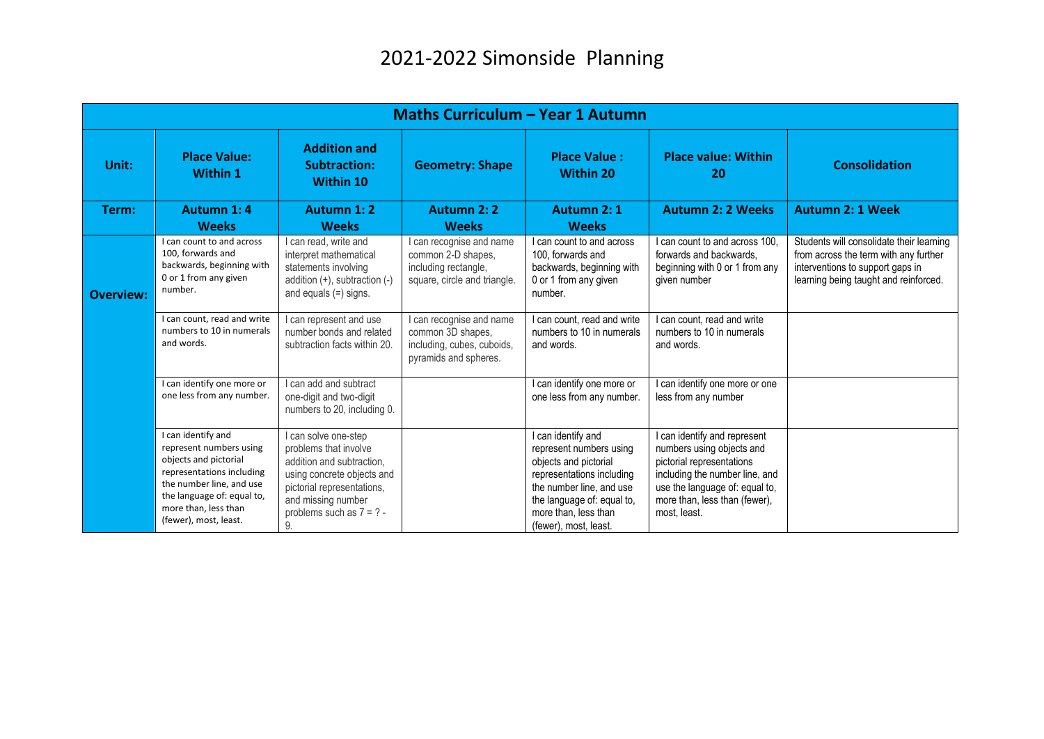| <b>Maths Curriculum - Year 1 Autumn</b> |                                                                                                                                                                                                                |                                                                                                                                                                                                 |                                                                                                        |                                                                                                                                                                                                                |                                                                                                                                                                                                             |                                                                                                                    |  |  |  |
|-----------------------------------------|----------------------------------------------------------------------------------------------------------------------------------------------------------------------------------------------------------------|-------------------------------------------------------------------------------------------------------------------------------------------------------------------------------------------------|--------------------------------------------------------------------------------------------------------|----------------------------------------------------------------------------------------------------------------------------------------------------------------------------------------------------------------|-------------------------------------------------------------------------------------------------------------------------------------------------------------------------------------------------------------|--------------------------------------------------------------------------------------------------------------------|--|--|--|
| Unit:                                   | <b>Place Value:</b><br><b>Within 1</b>                                                                                                                                                                         | <b>Addition and</b><br><b>Subtraction:</b><br><b>Within 10</b>                                                                                                                                  | <b>Geometry: Shape</b>                                                                                 | <b>Place Value:</b><br><b>Within 20</b>                                                                                                                                                                        | <b>Place value: Within</b><br>20                                                                                                                                                                            | <b>Consolidation</b>                                                                                               |  |  |  |
| Term:                                   | Autumn 1: 4                                                                                                                                                                                                    | Autumn 1: 2                                                                                                                                                                                     | Autumn 2: 2                                                                                            | Autumn 2: 1                                                                                                                                                                                                    | <b>Autumn 2: 2 Weeks</b>                                                                                                                                                                                    | <b>Autumn 2: 1 Week</b>                                                                                            |  |  |  |
|                                         | <b>Weeks</b><br>I can count to and across                                                                                                                                                                      | <b>Weeks</b><br>I can read, write and                                                                                                                                                           | <b>Weeks</b>                                                                                           | <b>Weeks</b><br>I can count to and across                                                                                                                                                                      | I can count to and across 100,                                                                                                                                                                              | Students will consolidate their learning                                                                           |  |  |  |
| <b>Overview:</b>                        | 100, forwards and<br>backwards, beginning with<br>0 or 1 from any given<br>number.                                                                                                                             | interpret mathematical<br>statements involving<br>addition (+), subtraction (-)<br>and equals $(=)$ signs.                                                                                      | I can recognise and name<br>common 2-D shapes,<br>including rectangle,<br>square, circle and triangle. | 100. forwards and<br>backwards, beginning with<br>0 or 1 from any given<br>number.                                                                                                                             | forwards and backwards,<br>beginning with 0 or 1 from any<br>given number                                                                                                                                   | from across the term with any further<br>interventions to support gaps in<br>learning being taught and reinforced. |  |  |  |
|                                         | I can count, read and write<br>numbers to 10 in numerals<br>and words.                                                                                                                                         | I can represent and use<br>number bonds and related<br>subtraction facts within 20.                                                                                                             | I can recognise and name<br>common 3D shapes,<br>including, cubes, cuboids,<br>pyramids and spheres.   | I can count, read and write<br>numbers to 10 in numerals<br>and words.                                                                                                                                         | I can count, read and write<br>numbers to 10 in numerals<br>and words.                                                                                                                                      |                                                                                                                    |  |  |  |
|                                         | I can identify one more or<br>one less from any number.                                                                                                                                                        | I can add and subtract<br>one-digit and two-digit<br>numbers to 20, including 0.                                                                                                                |                                                                                                        | can identify one more or<br>one less from any number.                                                                                                                                                          | can identify one more or one<br>less from any number                                                                                                                                                        |                                                                                                                    |  |  |  |
|                                         | I can identify and<br>represent numbers using<br>objects and pictorial<br>representations including<br>the number line, and use<br>the language of: equal to,<br>more than, less than<br>(fewer), most, least. | I can solve one-step<br>problems that involve<br>addition and subtraction,<br>using concrete objects and<br>pictorial representations,<br>and missing number<br>problems such as $7 = ? -$<br>9 |                                                                                                        | I can identify and<br>represent numbers using<br>objects and pictorial<br>representations including<br>the number line, and use<br>the language of: equal to,<br>more than, less than<br>(fewer), most, least. | I can identify and represent<br>numbers using objects and<br>pictorial representations<br>including the number line, and<br>use the language of: equal to,<br>more than, less than (fewer),<br>most, least. |                                                                                                                    |  |  |  |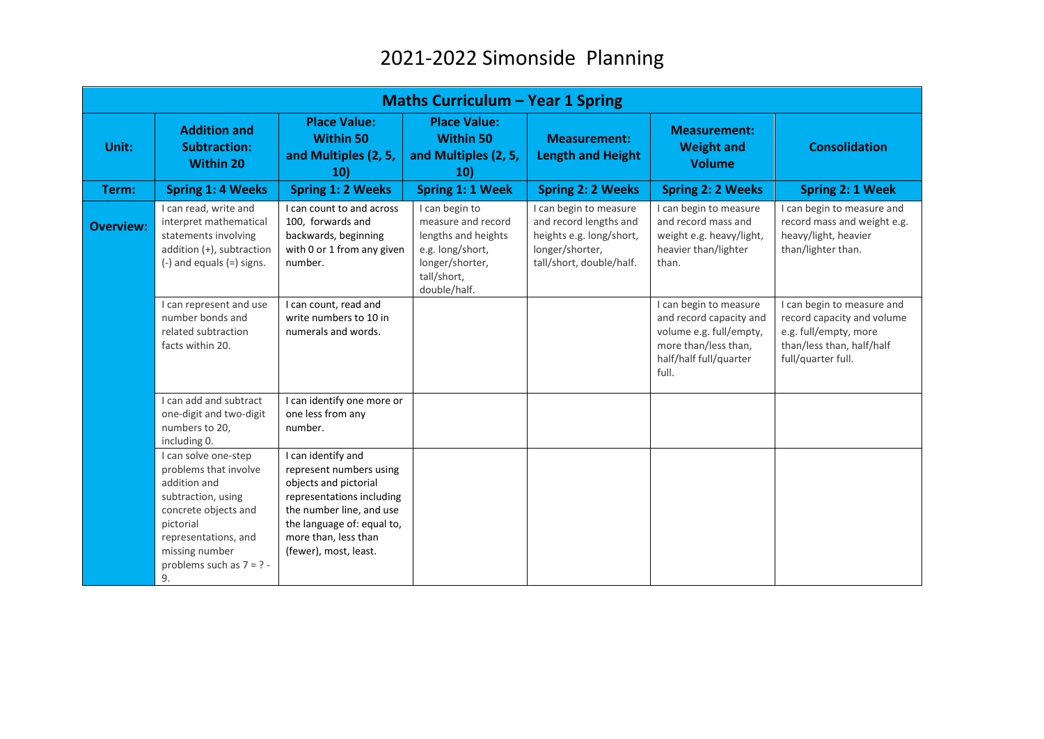|                  | <b>Maths Curriculum - Year 1 Spring</b>                                                                                                                                                                |                                                                                                                                                                                                                |                                                                                                                                   |                                                                                                                             |                                                                                                                                         |                                                                                                                                      |  |  |  |
|------------------|--------------------------------------------------------------------------------------------------------------------------------------------------------------------------------------------------------|----------------------------------------------------------------------------------------------------------------------------------------------------------------------------------------------------------------|-----------------------------------------------------------------------------------------------------------------------------------|-----------------------------------------------------------------------------------------------------------------------------|-----------------------------------------------------------------------------------------------------------------------------------------|--------------------------------------------------------------------------------------------------------------------------------------|--|--|--|
| Unit:            | <b>Addition and</b><br><b>Subtraction:</b><br><b>Within 20</b>                                                                                                                                         | <b>Place Value:</b><br><b>Within 50</b><br>and Multiples (2, 5,<br>10)                                                                                                                                         | <b>Place Value:</b><br><b>Within 50</b><br>and Multiples (2, 5,<br>10)                                                            | <b>Measurement:</b><br><b>Length and Height</b>                                                                             | <b>Measurement:</b><br><b>Weight and</b><br><b>Volume</b>                                                                               | <b>Consolidation</b>                                                                                                                 |  |  |  |
| Term:            | <b>Spring 1: 4 Weeks</b>                                                                                                                                                                               | <b>Spring 1: 2 Weeks</b>                                                                                                                                                                                       | <b>Spring 1: 1 Week</b>                                                                                                           | <b>Spring 2: 2 Weeks</b>                                                                                                    | <b>Spring 2: 2 Weeks</b>                                                                                                                | Spring 2: 1 Week                                                                                                                     |  |  |  |
| <b>Overview:</b> | I can read, write and<br>interpret mathematical<br>statements involving<br>addition (+), subtraction<br>$(-)$ and equals $(=)$ signs.                                                                  | I can count to and across<br>100, forwards and<br>backwards, beginning<br>with 0 or 1 from any given<br>number.                                                                                                | I can begin to<br>measure and record<br>lengths and heights<br>e.g. long/short,<br>longer/shorter,<br>tall/short,<br>double/half. | I can begin to measure<br>and record lengths and<br>heights e.g. long/short,<br>longer/shorter,<br>tall/short, double/half. | I can begin to measure<br>and record mass and<br>weight e.g. heavy/light,<br>heavier than/lighter<br>than.                              | I can begin to measure and<br>record mass and weight e.g.<br>heavy/light, heavier<br>than/lighter than.                              |  |  |  |
|                  | I can represent and use<br>number bonds and<br>related subtraction<br>facts within 20.                                                                                                                 | I can count, read and<br>write numbers to 10 in<br>numerals and words.                                                                                                                                         |                                                                                                                                   |                                                                                                                             | I can begin to measure<br>and record capacity and<br>volume e.g. full/empty,<br>more than/less than,<br>half/half full/quarter<br>full. | I can begin to measure and<br>record capacity and volume<br>e.g. full/empty, more<br>than/less than, half/half<br>full/quarter full. |  |  |  |
|                  | I can add and subtract<br>one-digit and two-digit<br>numbers to 20,<br>including 0.                                                                                                                    | I can identify one more or<br>one less from any<br>number.                                                                                                                                                     |                                                                                                                                   |                                                                                                                             |                                                                                                                                         |                                                                                                                                      |  |  |  |
|                  | I can solve one-step<br>problems that involve<br>addition and<br>subtraction, using<br>concrete objects and<br>pictorial<br>representations, and<br>missing number<br>problems such as $7 = ? -$<br>9. | I can identify and<br>represent numbers using<br>objects and pictorial<br>representations including<br>the number line, and use<br>the language of: equal to,<br>more than, less than<br>(fewer), most, least. |                                                                                                                                   |                                                                                                                             |                                                                                                                                         |                                                                                                                                      |  |  |  |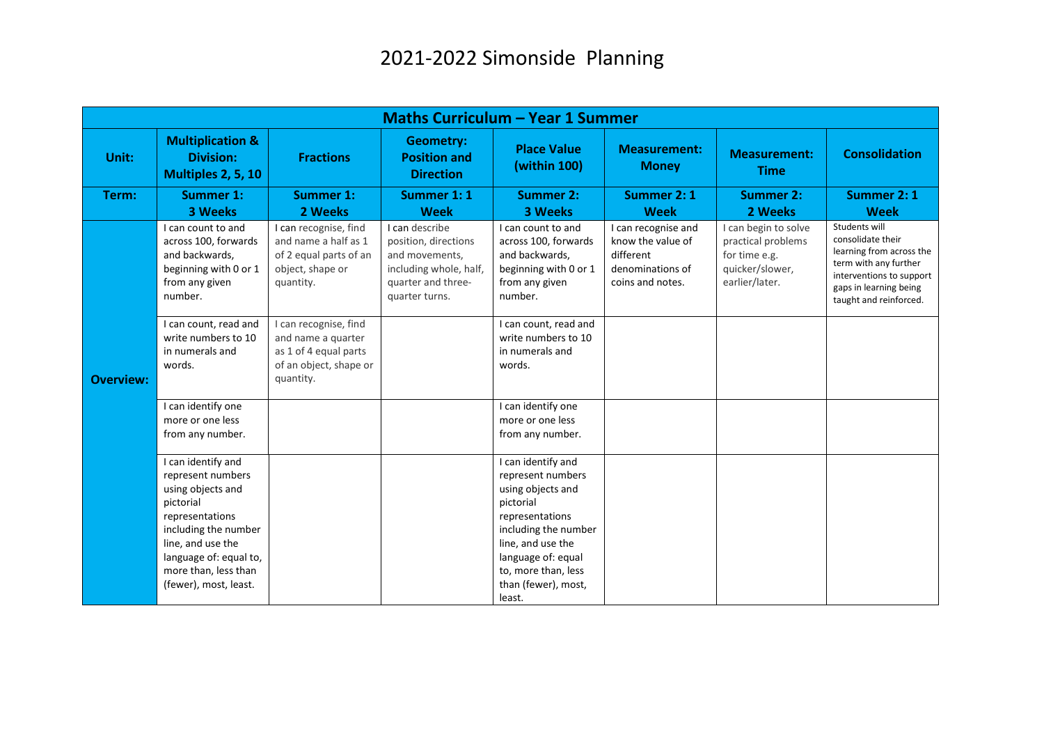|                  |                                                                                                                                                                                                                      |                                                                                                             |                                                                                                                            | <b>Maths Curriculum - Year 1 Summer</b>                                                                                                                                                                                 |                                                                                               |                                                                                                  |                                                                                                                                                                         |
|------------------|----------------------------------------------------------------------------------------------------------------------------------------------------------------------------------------------------------------------|-------------------------------------------------------------------------------------------------------------|----------------------------------------------------------------------------------------------------------------------------|-------------------------------------------------------------------------------------------------------------------------------------------------------------------------------------------------------------------------|-----------------------------------------------------------------------------------------------|--------------------------------------------------------------------------------------------------|-------------------------------------------------------------------------------------------------------------------------------------------------------------------------|
| Unit:            | <b>Multiplication &amp;</b><br><b>Division:</b><br>Multiples 2, 5, 10                                                                                                                                                | <b>Fractions</b>                                                                                            | <b>Geometry:</b><br><b>Position and</b><br><b>Direction</b>                                                                | <b>Place Value</b><br>(within 100)                                                                                                                                                                                      | <b>Measurement:</b><br><b>Money</b>                                                           | <b>Measurement:</b><br><b>Time</b>                                                               | <b>Consolidation</b>                                                                                                                                                    |
| Term:            | <b>Summer 1:</b><br><b>3 Weeks</b>                                                                                                                                                                                   | <b>Summer 1:</b><br>2 Weeks                                                                                 | Summer 1: 1<br><b>Week</b>                                                                                                 | <b>Summer 2:</b><br><b>3 Weeks</b>                                                                                                                                                                                      | Summer 2: 1<br><b>Week</b>                                                                    | <b>Summer 2:</b><br>2 Weeks                                                                      | Summer 2: 1<br><b>Week</b>                                                                                                                                              |
|                  | I can count to and<br>across 100, forwards<br>and backwards,<br>beginning with 0 or 1<br>from any given<br>number.                                                                                                   | I can recognise, find<br>and name a half as 1<br>of 2 equal parts of an<br>object, shape or<br>quantity.    | I can describe<br>position, directions<br>and movements,<br>including whole, half,<br>quarter and three-<br>quarter turns. | I can count to and<br>across 100, forwards<br>and backwards,<br>beginning with 0 or 1<br>from any given<br>number.                                                                                                      | I can recognise and<br>know the value of<br>different<br>denominations of<br>coins and notes. | I can begin to solve<br>practical problems<br>for time e.g.<br>quicker/slower,<br>earlier/later. | Students will<br>consolidate their<br>learning from across the<br>term with any further<br>interventions to support<br>gaps in learning being<br>taught and reinforced. |
| <b>Overview:</b> | I can count, read and<br>write numbers to 10<br>in numerals and<br>words.                                                                                                                                            | I can recognise, find<br>and name a quarter<br>as 1 of 4 equal parts<br>of an object, shape or<br>quantity. |                                                                                                                            | I can count, read and<br>write numbers to 10<br>in numerals and<br>words.                                                                                                                                               |                                                                                               |                                                                                                  |                                                                                                                                                                         |
|                  | I can identify one<br>more or one less<br>from any number.                                                                                                                                                           |                                                                                                             |                                                                                                                            | I can identify one<br>more or one less<br>from any number.                                                                                                                                                              |                                                                                               |                                                                                                  |                                                                                                                                                                         |
|                  | I can identify and<br>represent numbers<br>using objects and<br>pictorial<br>representations<br>including the number<br>line, and use the<br>language of: equal to,<br>more than, less than<br>(fewer), most, least. |                                                                                                             |                                                                                                                            | I can identify and<br>represent numbers<br>using objects and<br>pictorial<br>representations<br>including the number<br>line, and use the<br>language of: equal<br>to, more than, less<br>than (fewer), most,<br>least. |                                                                                               |                                                                                                  |                                                                                                                                                                         |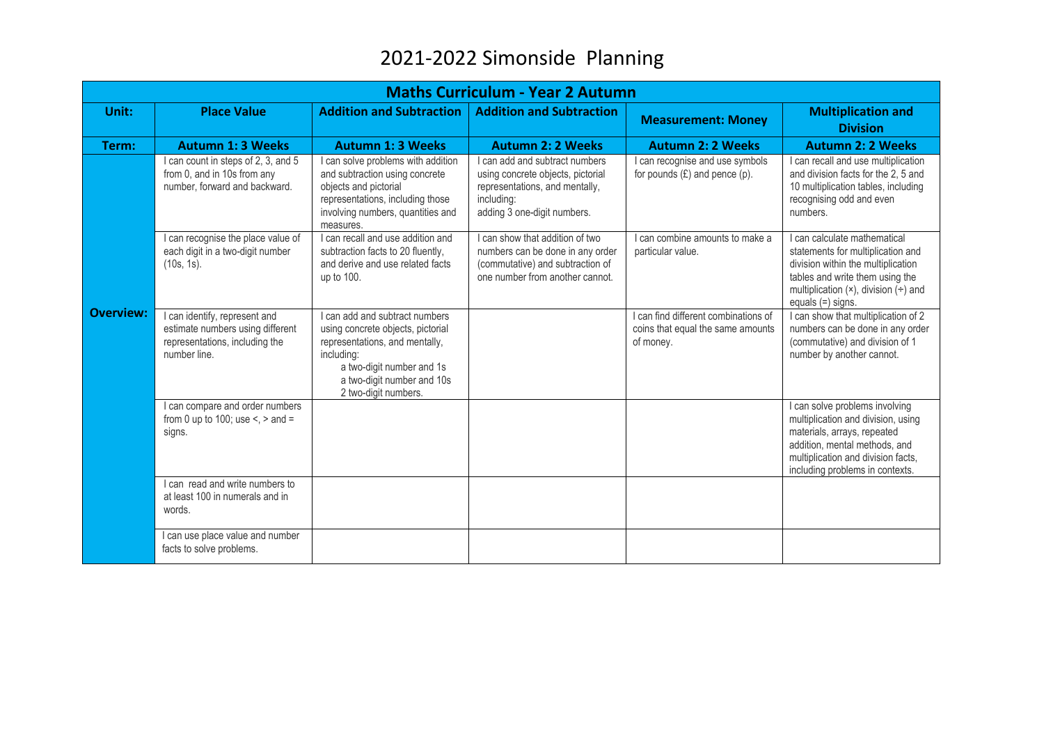|                  | <b>Maths Curriculum - Year 2 Autumn</b>                                                                             |                                                                                                                                                                                                        |                                                                                                                                                    |                                                                                        |                                                                                                                                                                                                                   |  |  |  |  |  |  |
|------------------|---------------------------------------------------------------------------------------------------------------------|--------------------------------------------------------------------------------------------------------------------------------------------------------------------------------------------------------|----------------------------------------------------------------------------------------------------------------------------------------------------|----------------------------------------------------------------------------------------|-------------------------------------------------------------------------------------------------------------------------------------------------------------------------------------------------------------------|--|--|--|--|--|--|
| Unit:            | <b>Place Value</b>                                                                                                  | <b>Addition and Subtraction</b>                                                                                                                                                                        | <b>Addition and Subtraction</b>                                                                                                                    | <b>Measurement: Money</b>                                                              | <b>Multiplication and</b><br><b>Division</b>                                                                                                                                                                      |  |  |  |  |  |  |
| Term:            | <b>Autumn 1: 3 Weeks</b>                                                                                            | <b>Autumn 1: 3 Weeks</b>                                                                                                                                                                               | <b>Autumn 2: 2 Weeks</b>                                                                                                                           | <b>Autumn 2: 2 Weeks</b>                                                               | <b>Autumn 2: 2 Weeks</b>                                                                                                                                                                                          |  |  |  |  |  |  |
|                  | I can count in steps of 2, 3, and 5<br>from 0, and in 10s from any<br>number, forward and backward.                 | I can solve problems with addition<br>and subtraction using concrete<br>objects and pictorial<br>representations, including those<br>involving numbers, quantities and<br>measures.                    | I can add and subtract numbers<br>using concrete objects, pictorial<br>representations, and mentally,<br>including:<br>adding 3 one-digit numbers. | I can recognise and use symbols<br>for pounds $(E)$ and pence $(p)$ .                  | I can recall and use multiplication<br>and division facts for the 2, 5 and<br>10 multiplication tables, including<br>recognising odd and even<br>numbers.                                                         |  |  |  |  |  |  |
|                  | I can recognise the place value of<br>each digit in a two-digit number<br>$(10s, 1s)$ .                             | I can recall and use addition and<br>subtraction facts to 20 fluently,<br>and derive and use related facts<br>up to 100.                                                                               | I can show that addition of two<br>numbers can be done in any order<br>(commutative) and subtraction of<br>one number from another cannot.         | can combine amounts to make a<br>particular value.                                     | I can calculate mathematical<br>statements for multiplication and<br>division within the multiplication<br>tables and write them using the<br>multiplication $(x)$ , division $(\div)$ and<br>equals $(=)$ signs. |  |  |  |  |  |  |
| <b>Overview:</b> | I can identify, represent and<br>estimate numbers using different<br>representations, including the<br>number line. | I can add and subtract numbers<br>using concrete objects, pictorial<br>representations, and mentally,<br>including:<br>a two-digit number and 1s<br>a two-digit number and 10s<br>2 two-digit numbers. |                                                                                                                                                    | I can find different combinations of<br>coins that equal the same amounts<br>of money. | I can show that multiplication of 2<br>numbers can be done in any order<br>(commutative) and division of 1<br>number by another cannot.                                                                           |  |  |  |  |  |  |
|                  | I can compare and order numbers<br>from 0 up to 100; use $\le$ , $>$ and $=$<br>signs.                              |                                                                                                                                                                                                        |                                                                                                                                                    |                                                                                        | I can solve problems involving<br>multiplication and division, using<br>materials, arrays, repeated<br>addition, mental methods, and<br>multiplication and division facts,<br>including problems in contexts.     |  |  |  |  |  |  |
|                  | I can read and write numbers to<br>at least 100 in numerals and in<br>words.                                        |                                                                                                                                                                                                        |                                                                                                                                                    |                                                                                        |                                                                                                                                                                                                                   |  |  |  |  |  |  |
|                  | I can use place value and number<br>facts to solve problems.                                                        |                                                                                                                                                                                                        |                                                                                                                                                    |                                                                                        |                                                                                                                                                                                                                   |  |  |  |  |  |  |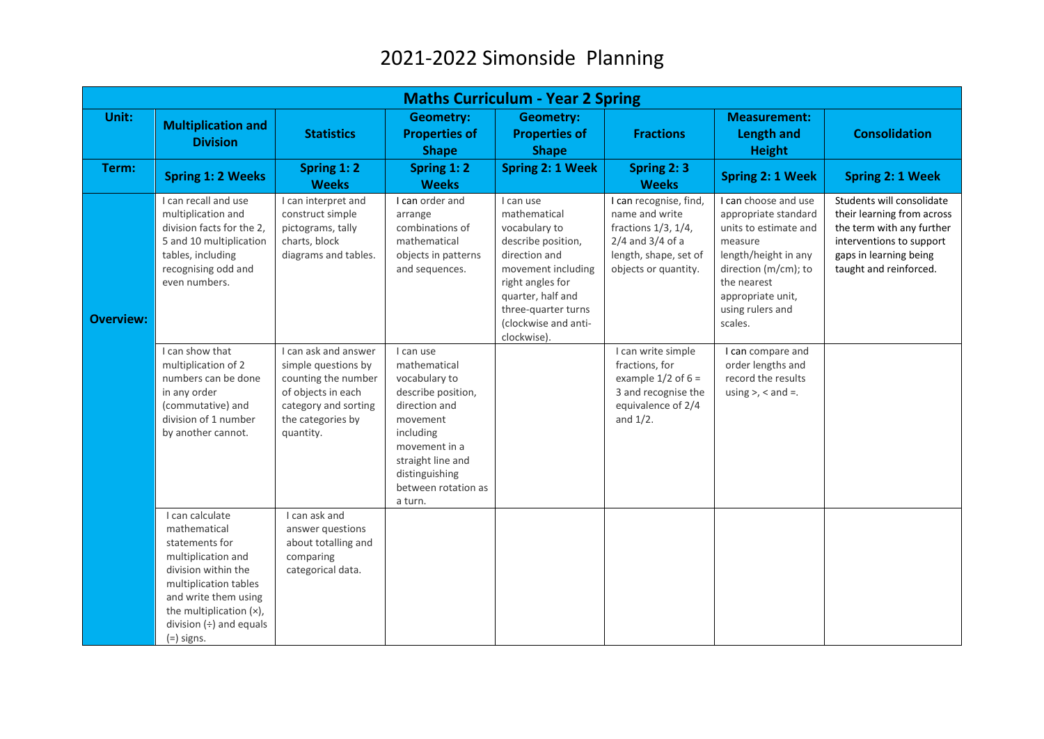|                  | <b>Maths Curriculum - Year 2 Spring</b>                                                                                                                                                                                 |                                                                                                                                                    |                                                                                                                                                                                                      |                                                                                                                                                                                                                |                                                                                                                                                |                                                                                                                                                                                                     |                                                                                                                                                                      |  |  |
|------------------|-------------------------------------------------------------------------------------------------------------------------------------------------------------------------------------------------------------------------|----------------------------------------------------------------------------------------------------------------------------------------------------|------------------------------------------------------------------------------------------------------------------------------------------------------------------------------------------------------|----------------------------------------------------------------------------------------------------------------------------------------------------------------------------------------------------------------|------------------------------------------------------------------------------------------------------------------------------------------------|-----------------------------------------------------------------------------------------------------------------------------------------------------------------------------------------------------|----------------------------------------------------------------------------------------------------------------------------------------------------------------------|--|--|
| Unit:            | <b>Multiplication and</b><br><b>Division</b>                                                                                                                                                                            | <b>Statistics</b>                                                                                                                                  | <b>Geometry:</b><br><b>Properties of</b><br><b>Shape</b>                                                                                                                                             | <b>Geometry:</b><br><b>Properties of</b><br><b>Shape</b>                                                                                                                                                       | <b>Fractions</b>                                                                                                                               | <b>Measurement:</b><br><b>Length and</b><br><b>Height</b>                                                                                                                                           | <b>Consolidation</b>                                                                                                                                                 |  |  |
| Term:            | <b>Spring 1: 2 Weeks</b>                                                                                                                                                                                                | Spring 1:2<br><b>Weeks</b>                                                                                                                         | Spring 1:2<br><b>Weeks</b>                                                                                                                                                                           | <b>Spring 2: 1 Week</b>                                                                                                                                                                                        | Spring 2:3<br><b>Weeks</b>                                                                                                                     | <b>Spring 2: 1 Week</b>                                                                                                                                                                             | <b>Spring 2: 1 Week</b>                                                                                                                                              |  |  |
| <b>Overview:</b> | I can recall and use<br>multiplication and<br>division facts for the 2,<br>5 and 10 multiplication<br>tables, including<br>recognising odd and<br>even numbers.                                                         | I can interpret and<br>construct simple<br>pictograms, tally<br>charts, block<br>diagrams and tables.                                              | I can order and<br>arrange<br>combinations of<br>mathematical<br>objects in patterns<br>and sequences.                                                                                               | I can use<br>mathematical<br>vocabulary to<br>describe position,<br>direction and<br>movement including<br>right angles for<br>quarter, half and<br>three-quarter turns<br>(clockwise and anti-<br>clockwise). | I can recognise, find,<br>name and write<br>fractions $1/3$ , $1/4$ ,<br>$2/4$ and $3/4$ of a<br>length, shape, set of<br>objects or quantity. | I can choose and use<br>appropriate standard<br>units to estimate and<br>measure<br>length/height in any<br>direction (m/cm); to<br>the nearest<br>appropriate unit,<br>using rulers and<br>scales. | Students will consolidate<br>their learning from across<br>the term with any further<br>interventions to support<br>gaps in learning being<br>taught and reinforced. |  |  |
|                  | I can show that<br>multiplication of 2<br>numbers can be done<br>in any order<br>(commutative) and<br>division of 1 number<br>by another cannot.                                                                        | I can ask and answer<br>simple questions by<br>counting the number<br>of objects in each<br>category and sorting<br>the categories by<br>quantity. | I can use<br>mathematical<br>vocabulary to<br>describe position,<br>direction and<br>movement<br>including<br>movement in a<br>straight line and<br>distinguishing<br>between rotation as<br>a turn. |                                                                                                                                                                                                                | I can write simple<br>fractions, for<br>example $1/2$ of 6 =<br>3 and recognise the<br>equivalence of 2/4<br>and $1/2$ .                       | I can compare and<br>order lengths and<br>record the results<br>using $>$ , $<$ and $=$ .                                                                                                           |                                                                                                                                                                      |  |  |
|                  | I can calculate<br>mathematical<br>statements for<br>multiplication and<br>division within the<br>multiplication tables<br>and write them using<br>the multiplication (x),<br>division $(+)$ and equals<br>$(=)$ signs. | I can ask and<br>answer questions<br>about totalling and<br>comparing<br>categorical data.                                                         |                                                                                                                                                                                                      |                                                                                                                                                                                                                |                                                                                                                                                |                                                                                                                                                                                                     |                                                                                                                                                                      |  |  |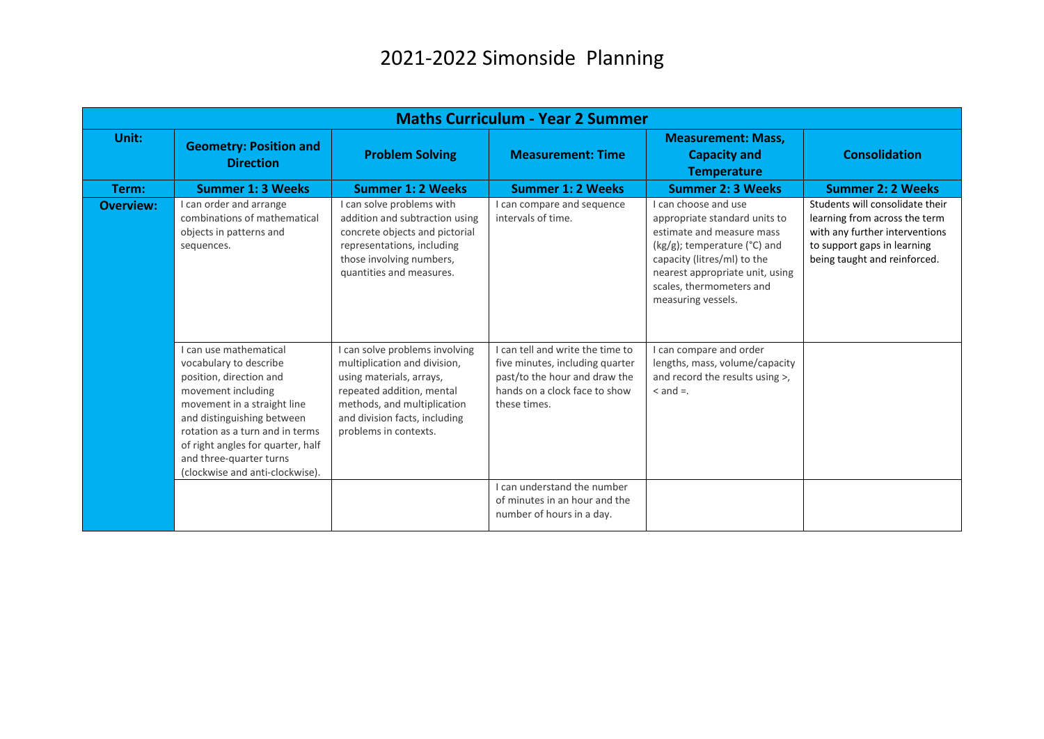|                  | <b>Maths Curriculum - Year 2 Summer</b>                                                                                                                                                                                                                                                              |                                                                                                                                                                                                                  |                                                                                                                                                       |                                                                                                                                                                                                                                               |                                                                                                                                                                   |  |  |  |  |
|------------------|------------------------------------------------------------------------------------------------------------------------------------------------------------------------------------------------------------------------------------------------------------------------------------------------------|------------------------------------------------------------------------------------------------------------------------------------------------------------------------------------------------------------------|-------------------------------------------------------------------------------------------------------------------------------------------------------|-----------------------------------------------------------------------------------------------------------------------------------------------------------------------------------------------------------------------------------------------|-------------------------------------------------------------------------------------------------------------------------------------------------------------------|--|--|--|--|
| Unit:            | <b>Geometry: Position and</b><br><b>Direction</b>                                                                                                                                                                                                                                                    | <b>Problem Solving</b>                                                                                                                                                                                           | <b>Measurement: Time</b>                                                                                                                              | <b>Measurement: Mass,</b><br><b>Capacity and</b><br><b>Temperature</b>                                                                                                                                                                        | <b>Consolidation</b>                                                                                                                                              |  |  |  |  |
| Term:            | <b>Summer 1: 3 Weeks</b>                                                                                                                                                                                                                                                                             | <b>Summer 1: 2 Weeks</b>                                                                                                                                                                                         | <b>Summer 1: 2 Weeks</b>                                                                                                                              | <b>Summer 2: 3 Weeks</b>                                                                                                                                                                                                                      | <b>Summer 2: 2 Weeks</b>                                                                                                                                          |  |  |  |  |
| <b>Overview:</b> | I can order and arrange<br>combinations of mathematical<br>objects in patterns and<br>sequences.                                                                                                                                                                                                     | I can solve problems with<br>addition and subtraction using<br>concrete objects and pictorial<br>representations, including<br>those involving numbers,<br>quantities and measures.                              | I can compare and sequence<br>intervals of time.                                                                                                      | I can choose and use<br>appropriate standard units to<br>estimate and measure mass<br>$(kg/g)$ ; temperature ( $°C$ ) and<br>capacity (litres/ml) to the<br>nearest appropriate unit, using<br>scales, thermometers and<br>measuring vessels. | Students will consolidate their<br>learning from across the term<br>with any further interventions<br>to support gaps in learning<br>being taught and reinforced. |  |  |  |  |
|                  | I can use mathematical<br>vocabulary to describe<br>position, direction and<br>movement including<br>movement in a straight line<br>and distinguishing between<br>rotation as a turn and in terms<br>of right angles for quarter, half<br>and three-quarter turns<br>(clockwise and anti-clockwise). | I can solve problems involving<br>multiplication and division,<br>using materials, arrays,<br>repeated addition, mental<br>methods, and multiplication<br>and division facts, including<br>problems in contexts. | I can tell and write the time to<br>five minutes, including quarter<br>past/to the hour and draw the<br>hands on a clock face to show<br>these times. | can compare and order<br>lengths, mass, volume/capacity<br>and record the results using >,<br>$\leq$ and $=$ .                                                                                                                                |                                                                                                                                                                   |  |  |  |  |
|                  |                                                                                                                                                                                                                                                                                                      |                                                                                                                                                                                                                  | I can understand the number<br>of minutes in an hour and the<br>number of hours in a day.                                                             |                                                                                                                                                                                                                                               |                                                                                                                                                                   |  |  |  |  |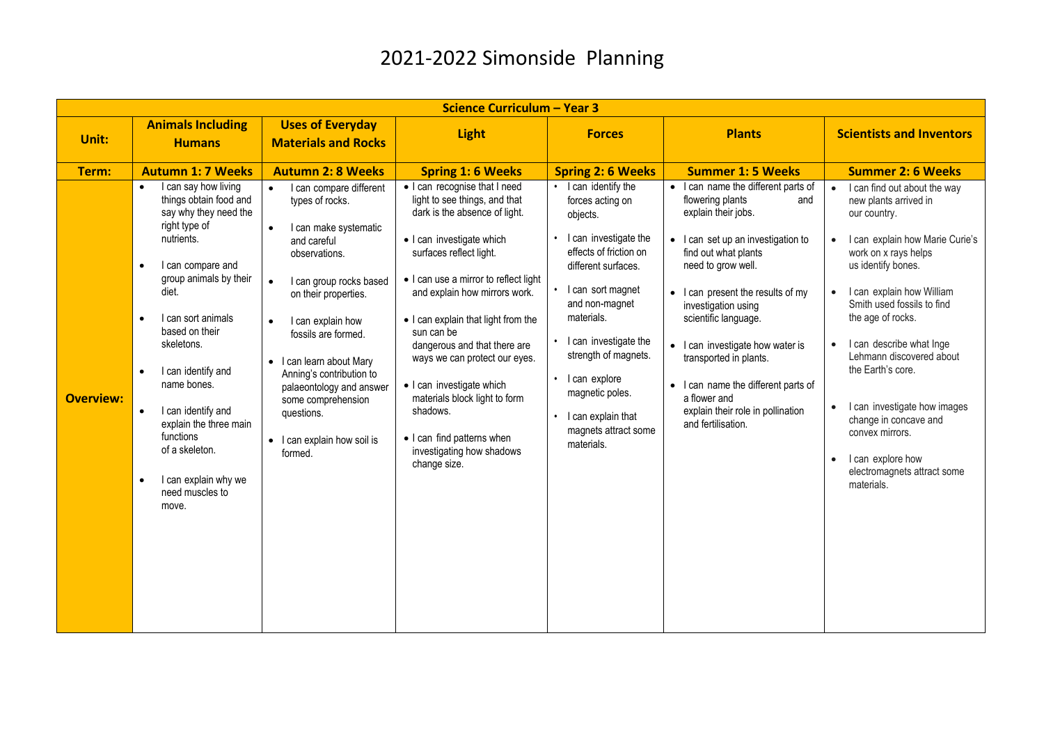|                  |                                                                                                                                                                                                                                                                                                                                                                                                                                                                            |                                                                                                                                                                                                                                                                                                                                                                                                | <b>Science Curriculum - Year 3</b>                                                                                                                                                                                                                                                                                                                                                                                                                                                                           |                                                                                                                                                                                                                                                                                                                                                |                                                                                                                                                                                                                                                                                                                                                                                                                                               |                                                                                                                                                                                                                                                                                                                                                                                                                                                                                                                                                 |
|------------------|----------------------------------------------------------------------------------------------------------------------------------------------------------------------------------------------------------------------------------------------------------------------------------------------------------------------------------------------------------------------------------------------------------------------------------------------------------------------------|------------------------------------------------------------------------------------------------------------------------------------------------------------------------------------------------------------------------------------------------------------------------------------------------------------------------------------------------------------------------------------------------|--------------------------------------------------------------------------------------------------------------------------------------------------------------------------------------------------------------------------------------------------------------------------------------------------------------------------------------------------------------------------------------------------------------------------------------------------------------------------------------------------------------|------------------------------------------------------------------------------------------------------------------------------------------------------------------------------------------------------------------------------------------------------------------------------------------------------------------------------------------------|-----------------------------------------------------------------------------------------------------------------------------------------------------------------------------------------------------------------------------------------------------------------------------------------------------------------------------------------------------------------------------------------------------------------------------------------------|-------------------------------------------------------------------------------------------------------------------------------------------------------------------------------------------------------------------------------------------------------------------------------------------------------------------------------------------------------------------------------------------------------------------------------------------------------------------------------------------------------------------------------------------------|
| Unit:            | <b>Animals Including</b><br><b>Humans</b>                                                                                                                                                                                                                                                                                                                                                                                                                                  | <b>Uses of Everyday</b><br><b>Materials and Rocks</b>                                                                                                                                                                                                                                                                                                                                          | <b>Light</b>                                                                                                                                                                                                                                                                                                                                                                                                                                                                                                 | <b>Forces</b>                                                                                                                                                                                                                                                                                                                                  | <b>Plants</b>                                                                                                                                                                                                                                                                                                                                                                                                                                 | <b>Scientists and Inventors</b>                                                                                                                                                                                                                                                                                                                                                                                                                                                                                                                 |
| Term:            | <b>Autumn 1: 7 Weeks</b>                                                                                                                                                                                                                                                                                                                                                                                                                                                   | <b>Autumn 2: 8 Weeks</b>                                                                                                                                                                                                                                                                                                                                                                       | <b>Spring 1: 6 Weeks</b>                                                                                                                                                                                                                                                                                                                                                                                                                                                                                     | <b>Spring 2: 6 Weeks</b>                                                                                                                                                                                                                                                                                                                       | <b>Summer 1: 5 Weeks</b>                                                                                                                                                                                                                                                                                                                                                                                                                      | <b>Summer 2: 6 Weeks</b>                                                                                                                                                                                                                                                                                                                                                                                                                                                                                                                        |
| <b>Overview:</b> | I can say how living<br>$\bullet$<br>things obtain food and<br>say why they need the<br>right type of<br>nutrients.<br>I can compare and<br>$\bullet$<br>group animals by their<br>diet.<br>I can sort animals<br>$\bullet$<br>based on their<br>skeletons.<br>I can identify and<br>$\bullet$<br>name bones.<br>I can identify and<br>$\bullet$<br>explain the three main<br>functions<br>of a skeleton.<br>I can explain why we<br>$\bullet$<br>need muscles to<br>move. | I can compare different<br>types of rocks.<br>I can make systematic<br>$\bullet$<br>and careful<br>observations.<br>I can group rocks based<br>on their properties.<br>I can explain how<br>$\bullet$<br>fossils are formed.<br>• I can learn about Mary<br>Anning's contribution to<br>palaeontology and answer<br>some comprehension<br>questions.<br>• I can explain how soil is<br>formed. | • I can recognise that I need<br>light to see things, and that<br>dark is the absence of light.<br>• I can investigate which<br>surfaces reflect light.<br>· I can use a mirror to reflect light<br>and explain how mirrors work.<br>• I can explain that light from the<br>sun can be<br>dangerous and that there are<br>ways we can protect our eyes.<br>• I can investigate which<br>materials block light to form<br>shadows.<br>• I can find patterns when<br>investigating how shadows<br>change size. | • I can identify the<br>forces acting on<br>objects.<br>• I can investigate the<br>effects of friction on<br>different surfaces.<br>• I can sort magnet<br>and non-magnet<br>materials.<br>• I can investigate the<br>strength of magnets.<br>· I can explore<br>magnetic poles.<br>• I can explain that<br>magnets attract some<br>materials. | • I can name the different parts of<br>flowering plants<br>and<br>explain their jobs.<br>• I can set up an investigation to<br>find out what plants<br>need to grow well.<br>• I can present the results of my<br>investigation using<br>scientific language.<br>• I can investigate how water is<br>transported in plants.<br>• I can name the different parts of<br>a flower and<br>explain their role in pollination<br>and fertilisation. | $\bullet$<br>I can find out about the way<br>new plants arrived in<br>our country.<br>I can explain how Marie Curie's<br>$\bullet$<br>work on x rays helps<br>us identify bones.<br>I can explain how William<br>$\bullet$<br>Smith used fossils to find<br>the age of rocks.<br>I can describe what Inge<br>$\bullet$<br>Lehmann discovered about<br>the Earth's core.<br>I can investigate how images<br>$\bullet$<br>change in concave and<br>convex mirrors.<br>I can explore how<br>$\bullet$<br>electromagnets attract some<br>materials. |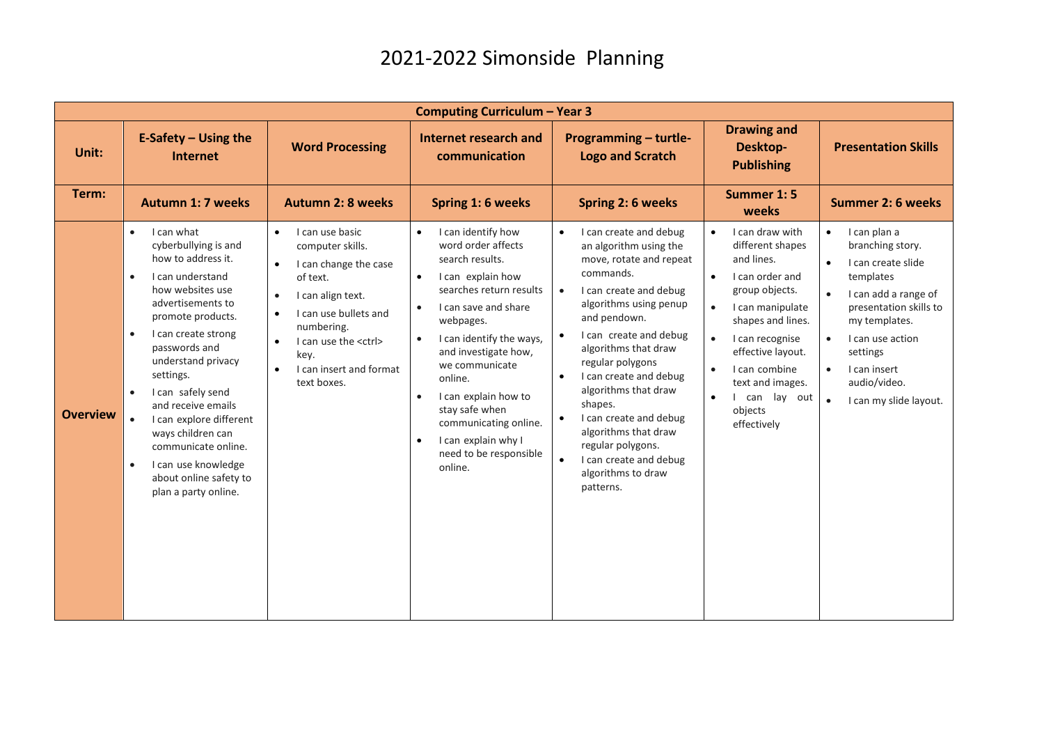|                 |                                                                                                                                                                                                                                                                                                                                                                                                                                                                      |                                                                                                                                                                                                                                                                                                                                                                  | <b>Computing Curriculum - Year 3</b>                                                                                                                                                                                                                                                                                                                                                                                                           |                                                                                                                                                                                                                                                                                                                                                                                                                                                                                                                   |                                                                                                                                                                                                                                                                                                                          |                                                                                                                                                                                                                                                                                                   |
|-----------------|----------------------------------------------------------------------------------------------------------------------------------------------------------------------------------------------------------------------------------------------------------------------------------------------------------------------------------------------------------------------------------------------------------------------------------------------------------------------|------------------------------------------------------------------------------------------------------------------------------------------------------------------------------------------------------------------------------------------------------------------------------------------------------------------------------------------------------------------|------------------------------------------------------------------------------------------------------------------------------------------------------------------------------------------------------------------------------------------------------------------------------------------------------------------------------------------------------------------------------------------------------------------------------------------------|-------------------------------------------------------------------------------------------------------------------------------------------------------------------------------------------------------------------------------------------------------------------------------------------------------------------------------------------------------------------------------------------------------------------------------------------------------------------------------------------------------------------|--------------------------------------------------------------------------------------------------------------------------------------------------------------------------------------------------------------------------------------------------------------------------------------------------------------------------|---------------------------------------------------------------------------------------------------------------------------------------------------------------------------------------------------------------------------------------------------------------------------------------------------|
| Unit:           | E-Safety - Using the<br><b>Internet</b>                                                                                                                                                                                                                                                                                                                                                                                                                              | <b>Word Processing</b>                                                                                                                                                                                                                                                                                                                                           | Internet research and<br>communication                                                                                                                                                                                                                                                                                                                                                                                                         | <b>Programming - turtle-</b><br><b>Logo and Scratch</b>                                                                                                                                                                                                                                                                                                                                                                                                                                                           | <b>Drawing and</b><br>Desktop-<br><b>Publishing</b>                                                                                                                                                                                                                                                                      | <b>Presentation Skills</b>                                                                                                                                                                                                                                                                        |
| Term:           | <b>Autumn 1: 7 weeks</b>                                                                                                                                                                                                                                                                                                                                                                                                                                             | <b>Autumn 2: 8 weeks</b>                                                                                                                                                                                                                                                                                                                                         | Spring 1: 6 weeks                                                                                                                                                                                                                                                                                                                                                                                                                              | <b>Spring 2: 6 weeks</b>                                                                                                                                                                                                                                                                                                                                                                                                                                                                                          | Summer 1:5<br>weeks                                                                                                                                                                                                                                                                                                      | <b>Summer 2: 6 weeks</b>                                                                                                                                                                                                                                                                          |
| <b>Overview</b> | I can what<br>$\bullet$<br>cyberbullying is and<br>how to address it.<br>I can understand<br>$\bullet$<br>how websites use<br>advertisements to<br>promote products.<br>I can create strong<br>$\bullet$<br>passwords and<br>understand privacy<br>settings.<br>I can safely send<br>and receive emails<br>I can explore different<br>ways children can<br>communicate online.<br>I can use knowledge<br>$\bullet$<br>about online safety to<br>plan a party online. | I can use basic<br>$\bullet$<br>computer skills.<br>I can change the case<br>$\bullet$<br>of text.<br>I can align text.<br>$\bullet$<br>I can use bullets and<br>$\bullet$<br>numbering.<br>I can use the <ctrl><br/><math display="inline">\bullet</math><br/>key.<br/>I can insert and format<br/><math display="inline">\bullet</math><br/>text boxes.</ctrl> | I can identify how<br>$\bullet$<br>word order affects<br>search results.<br>I can explain how<br>$\bullet$<br>searches return results<br>I can save and share<br>$\bullet$<br>webpages.<br>I can identify the ways,<br>$\bullet$<br>and investigate how,<br>we communicate<br>online.<br>I can explain how to<br>$\bullet$<br>stay safe when<br>communicating online.<br>I can explain why I<br>$\bullet$<br>need to be responsible<br>online. | I can create and debug<br>$\bullet$<br>an algorithm using the<br>move, rotate and repeat<br>commands.<br>I can create and debug<br>$\bullet$<br>algorithms using penup<br>and pendown.<br>I can create and debug<br>$\bullet$<br>algorithms that draw<br>regular polygons<br>I can create and debug<br>$\bullet$<br>algorithms that draw<br>shapes.<br>I can create and debug<br>$\bullet$<br>algorithms that draw<br>regular polygons.<br>$\bullet$<br>I can create and debug<br>algorithms to draw<br>patterns. | I can draw with<br>different shapes<br>and lines.<br>$\bullet$<br>I can order and<br>group objects.<br>I can manipulate<br>$\bullet$<br>shapes and lines.<br>I can recognise<br>$\bullet$<br>effective layout.<br>I can combine<br>$\bullet$<br>text and images.<br>I can lay out<br>$\bullet$<br>objects<br>effectively | I can plan a<br>$\bullet$<br>branching story.<br>I can create slide<br>$\bullet$<br>templates<br>I can add a range of<br>presentation skills to<br>my templates.<br>I can use action<br>$\bullet$<br>settings<br>I can insert<br>$\bullet$<br>audio/video.<br>I can my slide layout.<br>$\bullet$ |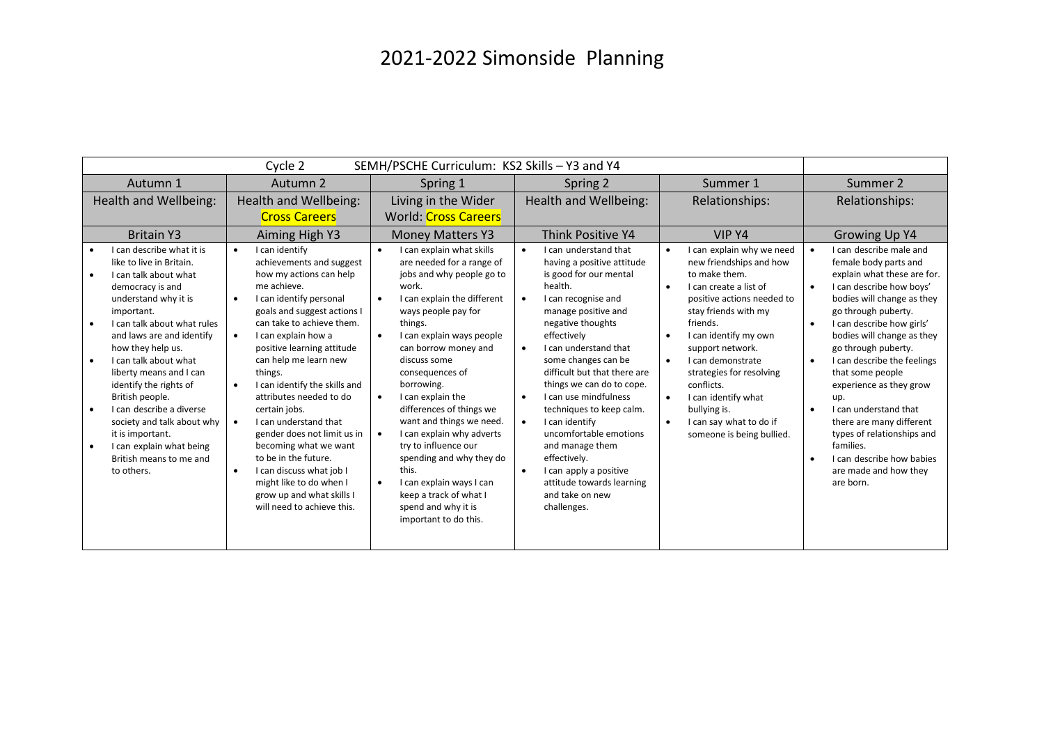| SEMH/PSCHE Curriculum: KS2 Skills - Y3 and Y4<br>Cycle 2                                                                                                                                                                                                                                                                                                                                                                                                                      |                                                                                                                                                                                                                                                                                                                                                                                                                                                                                                                                                                                                                                  |                                                                                                                                                                                                                                                                                                                                                                                                                                                                                                                                                                            |                                                                                                                                                                                                                                                                                                                                                                                                                                                                                                                                                                                                    |                                                                                                                                                                                                                                                                                                                                                                                                                                                   |                                                                                                                                                                                                                                                                                                                                                                                                                                                                                                            |
|-------------------------------------------------------------------------------------------------------------------------------------------------------------------------------------------------------------------------------------------------------------------------------------------------------------------------------------------------------------------------------------------------------------------------------------------------------------------------------|----------------------------------------------------------------------------------------------------------------------------------------------------------------------------------------------------------------------------------------------------------------------------------------------------------------------------------------------------------------------------------------------------------------------------------------------------------------------------------------------------------------------------------------------------------------------------------------------------------------------------------|----------------------------------------------------------------------------------------------------------------------------------------------------------------------------------------------------------------------------------------------------------------------------------------------------------------------------------------------------------------------------------------------------------------------------------------------------------------------------------------------------------------------------------------------------------------------------|----------------------------------------------------------------------------------------------------------------------------------------------------------------------------------------------------------------------------------------------------------------------------------------------------------------------------------------------------------------------------------------------------------------------------------------------------------------------------------------------------------------------------------------------------------------------------------------------------|---------------------------------------------------------------------------------------------------------------------------------------------------------------------------------------------------------------------------------------------------------------------------------------------------------------------------------------------------------------------------------------------------------------------------------------------------|------------------------------------------------------------------------------------------------------------------------------------------------------------------------------------------------------------------------------------------------------------------------------------------------------------------------------------------------------------------------------------------------------------------------------------------------------------------------------------------------------------|
| Autumn 1                                                                                                                                                                                                                                                                                                                                                                                                                                                                      | Autumn 2                                                                                                                                                                                                                                                                                                                                                                                                                                                                                                                                                                                                                         | Spring 1                                                                                                                                                                                                                                                                                                                                                                                                                                                                                                                                                                   | Spring 2                                                                                                                                                                                                                                                                                                                                                                                                                                                                                                                                                                                           | Summer 1                                                                                                                                                                                                                                                                                                                                                                                                                                          | Summer 2                                                                                                                                                                                                                                                                                                                                                                                                                                                                                                   |
| Health and Wellbeing:                                                                                                                                                                                                                                                                                                                                                                                                                                                         | Health and Wellbeing:                                                                                                                                                                                                                                                                                                                                                                                                                                                                                                                                                                                                            | Living in the Wider                                                                                                                                                                                                                                                                                                                                                                                                                                                                                                                                                        | Health and Wellbeing:                                                                                                                                                                                                                                                                                                                                                                                                                                                                                                                                                                              | Relationships:                                                                                                                                                                                                                                                                                                                                                                                                                                    | Relationships:                                                                                                                                                                                                                                                                                                                                                                                                                                                                                             |
|                                                                                                                                                                                                                                                                                                                                                                                                                                                                               | <b>Cross Careers</b>                                                                                                                                                                                                                                                                                                                                                                                                                                                                                                                                                                                                             | <b>World: Cross Careers</b>                                                                                                                                                                                                                                                                                                                                                                                                                                                                                                                                                |                                                                                                                                                                                                                                                                                                                                                                                                                                                                                                                                                                                                    |                                                                                                                                                                                                                                                                                                                                                                                                                                                   |                                                                                                                                                                                                                                                                                                                                                                                                                                                                                                            |
| <b>Britain Y3</b>                                                                                                                                                                                                                                                                                                                                                                                                                                                             | Aiming High Y3                                                                                                                                                                                                                                                                                                                                                                                                                                                                                                                                                                                                                   | <b>Money Matters Y3</b>                                                                                                                                                                                                                                                                                                                                                                                                                                                                                                                                                    | Think Positive Y4                                                                                                                                                                                                                                                                                                                                                                                                                                                                                                                                                                                  | VIP Y4                                                                                                                                                                                                                                                                                                                                                                                                                                            | Growing Up Y4                                                                                                                                                                                                                                                                                                                                                                                                                                                                                              |
| I can describe what it is<br>like to live in Britain.<br>I can talk about what<br>democracy is and<br>understand why it is<br>important.<br>I can talk about what rules<br>and laws are and identify<br>how they help us.<br>I can talk about what<br>liberty means and I can<br>identify the rights of<br>British people.<br>I can describe a diverse<br>society and talk about why<br>it is important.<br>I can explain what being<br>British means to me and<br>to others. | I can identify<br>$\bullet$<br>achievements and suggest<br>how my actions can help<br>me achieve.<br>I can identify personal<br>$\bullet$<br>goals and suggest actions I<br>can take to achieve them.<br>I can explain how a<br>positive learning attitude<br>can help me learn new<br>things.<br>I can identify the skills and<br>$\bullet$<br>attributes needed to do<br>certain jobs.<br>I can understand that<br>gender does not limit us in<br>becoming what we want<br>to be in the future.<br>I can discuss what job I<br>$\bullet$<br>might like to do when I<br>grow up and what skills I<br>will need to achieve this. | I can explain what skills<br>are needed for a range of<br>jobs and why people go to<br>work.<br>I can explain the different<br>ways people pay for<br>things.<br>I can explain ways people<br>$\bullet$<br>can borrow money and<br>discuss some<br>consequences of<br>borrowing.<br>I can explain the<br>differences of things we<br>want and things we need.<br>I can explain why adverts<br>try to influence our<br>spending and why they do<br>this.<br>I can explain ways I can<br>$\bullet$<br>keep a track of what I<br>spend and why it is<br>important to do this. | $\bullet$<br>I can understand that<br>having a positive attitude<br>is good for our mental<br>health.<br>I can recognise and<br>$\bullet$<br>manage positive and<br>negative thoughts<br>effectively<br>I can understand that<br>$\bullet$<br>some changes can be<br>difficult but that there are<br>things we can do to cope.<br>I can use mindfulness<br>$\bullet$<br>techniques to keep calm.<br>I can identify<br>$\bullet$<br>uncomfortable emotions<br>and manage them<br>effectively.<br>I can apply a positive<br>$\bullet$<br>attitude towards learning<br>and take on new<br>challenges. | I can explain why we need<br>$\bullet$<br>new friendships and how<br>to make them.<br>I can create a list of<br>$\bullet$<br>positive actions needed to<br>stay friends with my<br>friends.<br>I can identify my own<br>٠<br>support network.<br>Lcan demonstrate<br>$\bullet$<br>strategies for resolving<br>conflicts.<br>I can identify what<br>$\bullet$<br>bullying is.<br>I can say what to do if<br>$\bullet$<br>someone is being bullied. | I can describe male and<br>female body parts and<br>explain what these are for.<br>I can describe how boys'<br>bodies will change as they<br>go through puberty.<br>I can describe how girls'<br>bodies will change as they<br>go through puberty.<br>I can describe the feelings<br>that some people<br>experience as they grow<br>up.<br>I can understand that<br>there are many different<br>types of relationships and<br>families.<br>I can describe how babies<br>are made and how they<br>are born. |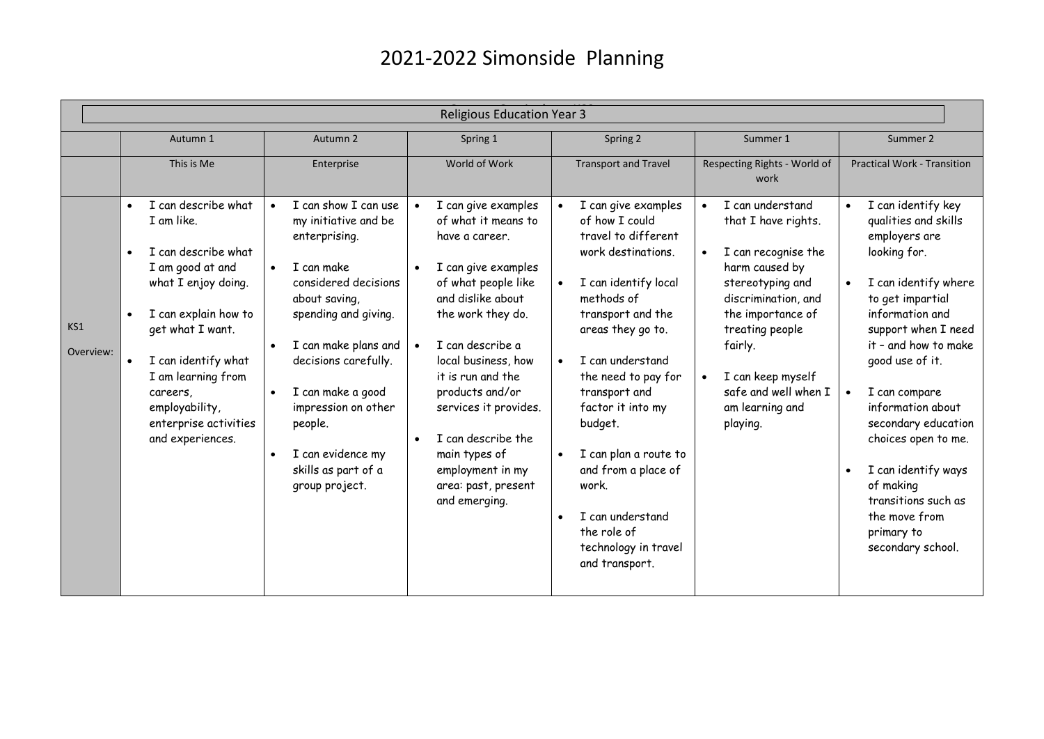| <b>Religious Education Year 3</b> |                                                                                                                                                                                                                                                                                                                             |                                                                                                                                                                                                                                                                                                                                |                                                                                                                                                                                                                                                                                                                                                                     |                                                                                                                                                                                                                                                                                                                                                                                                                                             |                                                                                                                                                                                                                                                                                      |                                                                                                                                                                                                                                                                                                                                                                                                                              |
|-----------------------------------|-----------------------------------------------------------------------------------------------------------------------------------------------------------------------------------------------------------------------------------------------------------------------------------------------------------------------------|--------------------------------------------------------------------------------------------------------------------------------------------------------------------------------------------------------------------------------------------------------------------------------------------------------------------------------|---------------------------------------------------------------------------------------------------------------------------------------------------------------------------------------------------------------------------------------------------------------------------------------------------------------------------------------------------------------------|---------------------------------------------------------------------------------------------------------------------------------------------------------------------------------------------------------------------------------------------------------------------------------------------------------------------------------------------------------------------------------------------------------------------------------------------|--------------------------------------------------------------------------------------------------------------------------------------------------------------------------------------------------------------------------------------------------------------------------------------|------------------------------------------------------------------------------------------------------------------------------------------------------------------------------------------------------------------------------------------------------------------------------------------------------------------------------------------------------------------------------------------------------------------------------|
|                                   | Autumn 1                                                                                                                                                                                                                                                                                                                    | Autumn 2                                                                                                                                                                                                                                                                                                                       | Spring 1                                                                                                                                                                                                                                                                                                                                                            | Spring 2                                                                                                                                                                                                                                                                                                                                                                                                                                    | Summer 1                                                                                                                                                                                                                                                                             | Summer 2                                                                                                                                                                                                                                                                                                                                                                                                                     |
|                                   | This is Me                                                                                                                                                                                                                                                                                                                  | Enterprise                                                                                                                                                                                                                                                                                                                     | World of Work                                                                                                                                                                                                                                                                                                                                                       | <b>Transport and Travel</b>                                                                                                                                                                                                                                                                                                                                                                                                                 | Respecting Rights - World of<br>work                                                                                                                                                                                                                                                 | <b>Practical Work - Transition</b>                                                                                                                                                                                                                                                                                                                                                                                           |
| KS1<br>Overview:                  | I can describe what<br>$\bullet$<br>I am like.<br>I can describe what<br>$\bullet$<br>I am good at and<br>what I enjoy doing.<br>I can explain how to<br>$\bullet$<br>get what I want.<br>I can identify what<br>$\bullet$<br>I am learning from<br>careers.<br>employability,<br>enterprise activities<br>and experiences. | I can show I can use<br>my initiative and be<br>enterprising.<br>I can make<br>considered decisions<br>about saving,<br>spending and giving.<br>I can make plans and<br>decisions carefully.<br>I can make a good<br>$\bullet$<br>impression on other<br>people.<br>I can evidence my<br>skills as part of a<br>group project. | I can give examples<br>of what it means to<br>have a career.<br>I can give examples<br>of what people like<br>and dislike about<br>the work they do.<br>I can describe a<br>local business, how<br>it is run and the<br>products and/or<br>services it provides.<br>I can describe the<br>main types of<br>employment in my<br>area: past, present<br>and emerging. | I can give examples<br>of how I could<br>travel to different<br>work destinations.<br>I can identify local<br>methods of<br>transport and the<br>areas they go to.<br>I can understand<br>$\bullet$<br>the need to pay for<br>transport and<br>factor it into my<br>budget.<br>I can plan a route to<br>$\bullet$<br>and from a place of<br>work.<br>I can understand<br>$\bullet$<br>the role of<br>technology in travel<br>and transport. | I can understand<br>that I have rights.<br>I can recognise the<br>$\bullet$<br>harm caused by<br>stereotyping and<br>discrimination, and<br>the importance of<br>treating people<br>fairly.<br>I can keep myself<br>$\bullet$<br>safe and well when I<br>am learning and<br>playing. | I can identify key<br>qualities and skills<br>employers are<br>looking for.<br>I can identify where<br>to get impartial<br>information and<br>support when I need<br>it - and how to make<br>good use of it.<br>I can compare<br>information about<br>secondary education<br>choices open to me.<br>I can identify ways<br>$\bullet$<br>of making<br>transitions such as<br>the move from<br>primary to<br>secondary school. |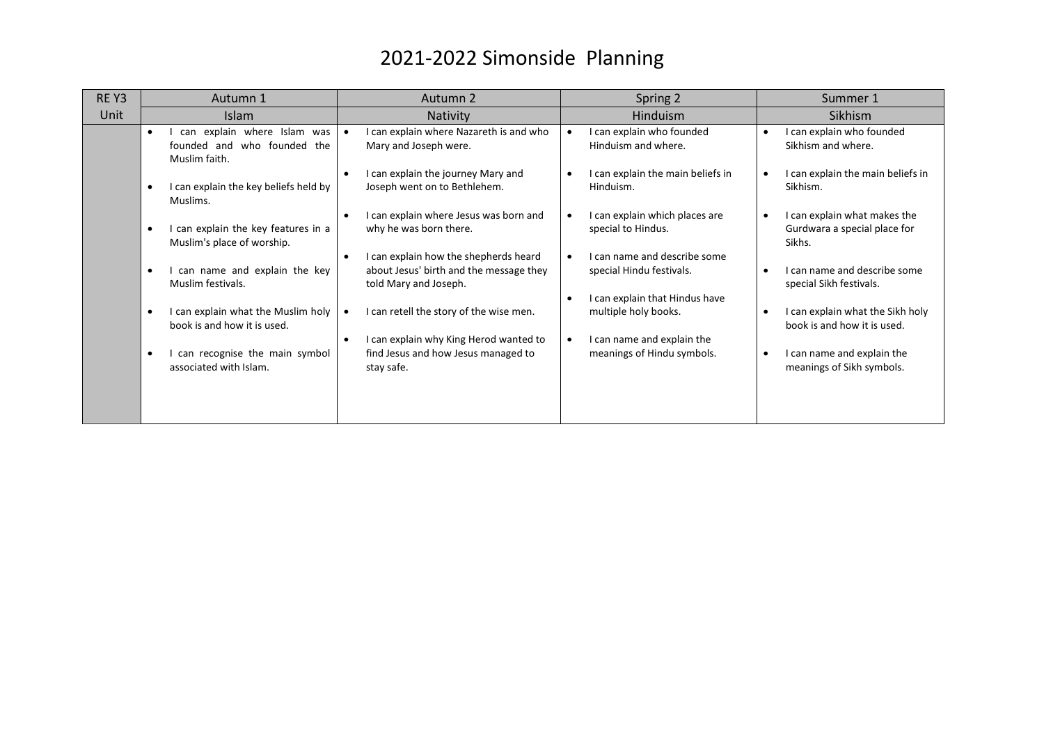| REY3 | Autumn 1                                                                                 | Autumn 2                                                                                                  | Spring 2                                                            | Summer 1                                                                          |  |
|------|------------------------------------------------------------------------------------------|-----------------------------------------------------------------------------------------------------------|---------------------------------------------------------------------|-----------------------------------------------------------------------------------|--|
| Unit | <b>Islam</b>                                                                             | <b>Nativity</b>                                                                                           | <b>Hinduism</b>                                                     | <b>Sikhism</b>                                                                    |  |
|      | can explain where Islam was<br>$\bullet$<br>founded and who founded the<br>Muslim faith. | I can explain where Nazareth is and who<br>Mary and Joseph were.                                          | can explain who founded<br>$\bullet$<br>Hinduism and where.         | can explain who founded<br>Sikhism and where.                                     |  |
|      | I can explain the key beliefs held by<br>Muslims.                                        | I can explain the journey Mary and<br>Joseph went on to Bethlehem.                                        | can explain the main beliefs in<br>$\bullet$<br>Hinduism.           | can explain the main beliefs in<br>Sikhism.                                       |  |
|      | can explain the key features in a<br>Muslim's place of worship.                          | I can explain where Jesus was born and<br>why he was born there.                                          | can explain which places are<br>$\bullet$<br>special to Hindus.     | can explain what makes the<br>$\bullet$<br>Gurdwara a special place for<br>Sikhs. |  |
|      | can name and explain the key<br>Muslim festivals.                                        | I can explain how the shepherds heard<br>about Jesus' birth and the message they<br>told Mary and Joseph. | can name and describe some<br>$\bullet$<br>special Hindu festivals. | can name and describe some<br>special Sikh festivals.                             |  |
|      | I can explain what the Muslim holy<br>book is and how it is used.                        | I can retell the story of the wise men.                                                                   | can explain that Hindus have<br>٠<br>multiple holy books.           | can explain what the Sikh holy<br>$\bullet$<br>book is and how it is used.        |  |
|      | can recognise the main symbol<br>associated with Islam.                                  | I can explain why King Herod wanted to<br>find Jesus and how Jesus managed to<br>stay safe.               | can name and explain the<br>$\bullet$<br>meanings of Hindu symbols. | I can name and explain the<br>$\bullet$<br>meanings of Sikh symbols.              |  |
|      |                                                                                          |                                                                                                           |                                                                     |                                                                                   |  |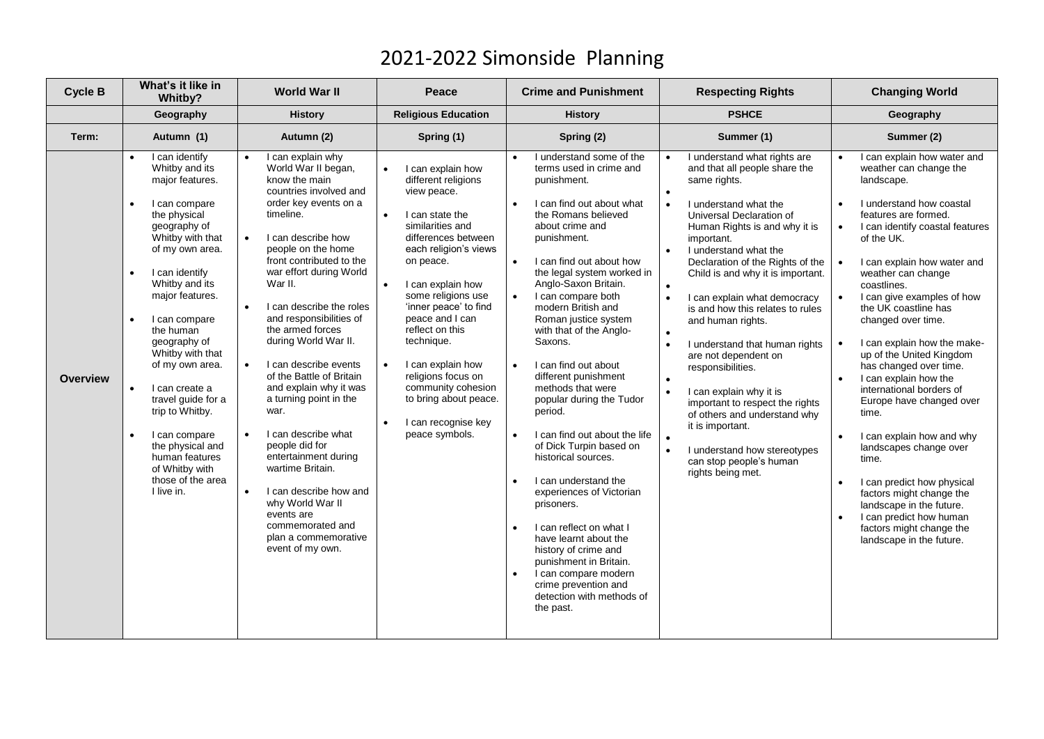| <b>Cycle B</b>  | What's it like in<br>Whitby?                                                                                                                                                                                                                                                                                                                                                                                                                                                                                                                 | <b>World War II</b>                                                                                                                                                                                                                                                                                                                                                                                                                                                                                                                                                                                                                                                                                                              | Peace                                                                                                                                                                                                                                                                                                                                                                                                                                                                      | <b>Crime and Punishment</b>                                                                                                                                                                                                                                                                                                                                                                                                                                                                                                                                                                                                                                                                                                                                                                                                                                                                                                   | <b>Respecting Rights</b>                                                                                                                                                                                                                                                                                                                                                                                                                                                                                                                                                                                                                                                                                                                                                                                                  | <b>Changing World</b>                                                                                                                                                                                                                                                                                                                                                                                                                                                                                                                                                                                                                                                                                                                                                                                                                                                 |
|-----------------|----------------------------------------------------------------------------------------------------------------------------------------------------------------------------------------------------------------------------------------------------------------------------------------------------------------------------------------------------------------------------------------------------------------------------------------------------------------------------------------------------------------------------------------------|----------------------------------------------------------------------------------------------------------------------------------------------------------------------------------------------------------------------------------------------------------------------------------------------------------------------------------------------------------------------------------------------------------------------------------------------------------------------------------------------------------------------------------------------------------------------------------------------------------------------------------------------------------------------------------------------------------------------------------|----------------------------------------------------------------------------------------------------------------------------------------------------------------------------------------------------------------------------------------------------------------------------------------------------------------------------------------------------------------------------------------------------------------------------------------------------------------------------|-------------------------------------------------------------------------------------------------------------------------------------------------------------------------------------------------------------------------------------------------------------------------------------------------------------------------------------------------------------------------------------------------------------------------------------------------------------------------------------------------------------------------------------------------------------------------------------------------------------------------------------------------------------------------------------------------------------------------------------------------------------------------------------------------------------------------------------------------------------------------------------------------------------------------------|---------------------------------------------------------------------------------------------------------------------------------------------------------------------------------------------------------------------------------------------------------------------------------------------------------------------------------------------------------------------------------------------------------------------------------------------------------------------------------------------------------------------------------------------------------------------------------------------------------------------------------------------------------------------------------------------------------------------------------------------------------------------------------------------------------------------------|-----------------------------------------------------------------------------------------------------------------------------------------------------------------------------------------------------------------------------------------------------------------------------------------------------------------------------------------------------------------------------------------------------------------------------------------------------------------------------------------------------------------------------------------------------------------------------------------------------------------------------------------------------------------------------------------------------------------------------------------------------------------------------------------------------------------------------------------------------------------------|
|                 | Geography                                                                                                                                                                                                                                                                                                                                                                                                                                                                                                                                    | <b>History</b>                                                                                                                                                                                                                                                                                                                                                                                                                                                                                                                                                                                                                                                                                                                   | <b>Religious Education</b>                                                                                                                                                                                                                                                                                                                                                                                                                                                 | <b>History</b>                                                                                                                                                                                                                                                                                                                                                                                                                                                                                                                                                                                                                                                                                                                                                                                                                                                                                                                | <b>PSHCE</b>                                                                                                                                                                                                                                                                                                                                                                                                                                                                                                                                                                                                                                                                                                                                                                                                              | Geography                                                                                                                                                                                                                                                                                                                                                                                                                                                                                                                                                                                                                                                                                                                                                                                                                                                             |
| Term:           | Autumn (1)                                                                                                                                                                                                                                                                                                                                                                                                                                                                                                                                   | Autumn (2)                                                                                                                                                                                                                                                                                                                                                                                                                                                                                                                                                                                                                                                                                                                       | Spring (1)                                                                                                                                                                                                                                                                                                                                                                                                                                                                 | Spring (2)                                                                                                                                                                                                                                                                                                                                                                                                                                                                                                                                                                                                                                                                                                                                                                                                                                                                                                                    | Summer (1)                                                                                                                                                                                                                                                                                                                                                                                                                                                                                                                                                                                                                                                                                                                                                                                                                | Summer (2)                                                                                                                                                                                                                                                                                                                                                                                                                                                                                                                                                                                                                                                                                                                                                                                                                                                            |
| <b>Overview</b> | I can identify<br>$\bullet$<br>Whitby and its<br>major features.<br>I can compare<br>$\bullet$<br>the physical<br>geography of<br>Whitby with that<br>of my own area.<br>I can identify<br>$\bullet$<br>Whitby and its<br>major features.<br>I can compare<br>$\bullet$<br>the human<br>geography of<br>Whitby with that<br>of my own area.<br>I can create a<br>$\bullet$<br>travel guide for a<br>trip to Whitby.<br>I can compare<br>$\bullet$<br>the physical and<br>human features<br>of Whitby with<br>those of the area<br>I live in. | I can explain why<br>World War II began,<br>know the main<br>countries involved and<br>order key events on a<br>timeline.<br>I can describe how<br>$\bullet$<br>people on the home<br>front contributed to the<br>war effort during World<br>War II.<br>I can describe the roles<br>$\bullet$<br>and responsibilities of<br>the armed forces<br>during World War II.<br>I can describe events<br>$\bullet$<br>of the Battle of Britain<br>and explain why it was<br>a turning point in the<br>war.<br>I can describe what<br>people did for<br>entertainment during<br>wartime Britain.<br>I can describe how and<br>$\bullet$<br>why World War II<br>events are<br>commemorated and<br>plan a commemorative<br>event of my own. | I can explain how<br>different religions<br>view peace.<br>I can state the<br>$\bullet$<br>similarities and<br>differences between<br>each religion's views<br>on peace.<br>I can explain how<br>$\bullet$<br>some religions use<br>'inner peace' to find<br>peace and I can<br>reflect on this<br>technique.<br>I can explain how<br>$\bullet$<br>religions focus on<br>community cohesion<br>to bring about peace.<br>I can recognise key<br>$\bullet$<br>peace symbols. | I understand some of the<br>terms used in crime and<br>punishment.<br>I can find out about what<br>$\bullet$<br>the Romans believed<br>about crime and<br>punishment.<br>I can find out about how<br>$\bullet$<br>the legal system worked in<br>Anglo-Saxon Britain.<br>I can compare both<br>$\bullet$<br>modern British and<br>Roman justice system<br>with that of the Anglo-<br>Saxons.<br>I can find out about<br>$\bullet$<br>different punishment<br>methods that were<br>popular during the Tudor<br>period.<br>I can find out about the life<br>$\bullet$<br>of Dick Turpin based on<br>historical sources.<br>I can understand the<br>$\bullet$<br>experiences of Victorian<br>prisoners.<br>I can reflect on what I<br>$\bullet$<br>have learnt about the<br>history of crime and<br>punishment in Britain.<br>I can compare modern<br>$\bullet$<br>crime prevention and<br>detection with methods of<br>the past. | I understand what rights are<br>$\bullet$<br>and that all people share the<br>same rights.<br>$\bullet$<br>I understand what the<br>$\bullet$<br>Universal Declaration of<br>Human Rights is and why it is<br>important.<br>I understand what the<br>$\bullet$<br>Declaration of the Rights of the<br>Child is and why it is important.<br>$\bullet$<br>I can explain what democracy<br>$\bullet$<br>is and how this relates to rules<br>and human rights.<br>$\bullet$<br>$\bullet$<br>I understand that human rights<br>are not dependent on<br>responsibilities.<br>$\bullet$<br>$\bullet$<br>I can explain why it is<br>important to respect the rights<br>of others and understand why<br>it is important.<br>$\bullet$<br>I understand how stereotypes<br>$\bullet$<br>can stop people's human<br>rights being met. | I can explain how water and<br>$\bullet$<br>weather can change the<br>landscape.<br>I understand how coastal<br>$\bullet$<br>features are formed.<br>I can identify coastal features<br>$\bullet$<br>of the UK.<br>I can explain how water and<br>$\bullet$<br>weather can change<br>coastlines.<br>$\bullet$<br>I can give examples of how<br>the UK coastline has<br>changed over time.<br>I can explain how the make-<br>$\bullet$<br>up of the United Kingdom<br>has changed over time.<br>I can explain how the<br>$\bullet$<br>international borders of<br>Europe have changed over<br>time.<br>I can explain how and why<br>$\bullet$<br>landscapes change over<br>time.<br>I can predict how physical<br>factors might change the<br>landscape in the future.<br>I can predict how human<br>$\bullet$<br>factors might change the<br>landscape in the future. |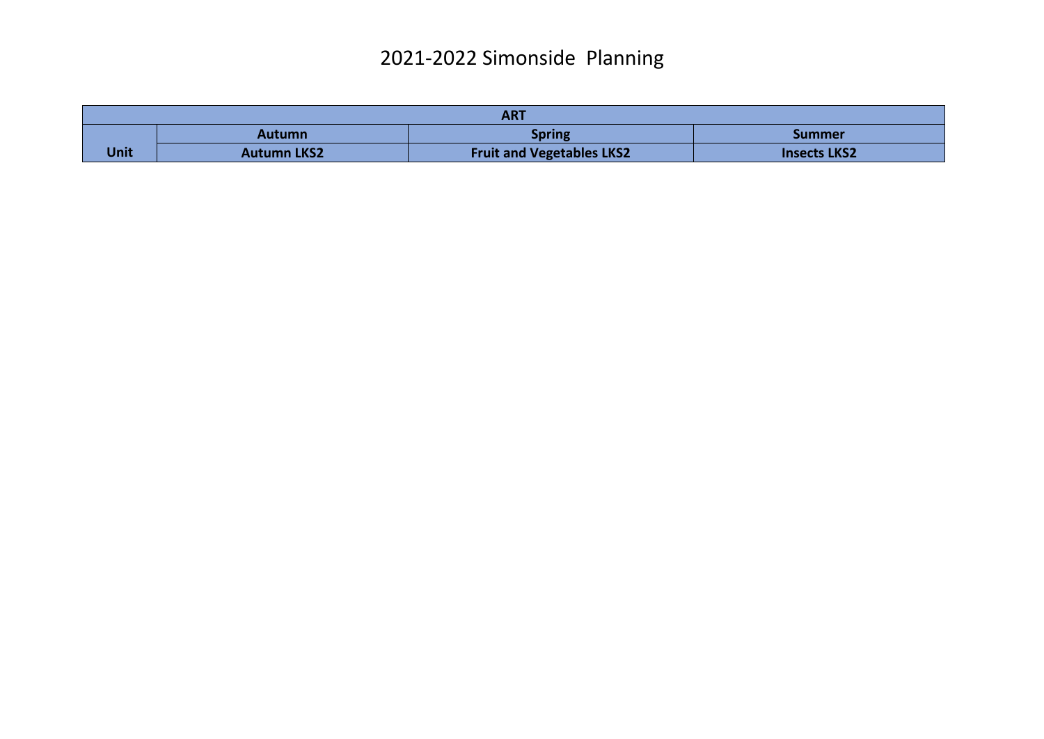| <b>ART</b> |                                   |                                  |                     |  |
|------------|-----------------------------------|----------------------------------|---------------------|--|
|            | <b>Spring</b><br>Autumn<br>Summer |                                  |                     |  |
| Unit       | <b>Autumn LKS2</b>                | <b>Fruit and Vegetables LKS2</b> | <b>Insects LKS2</b> |  |